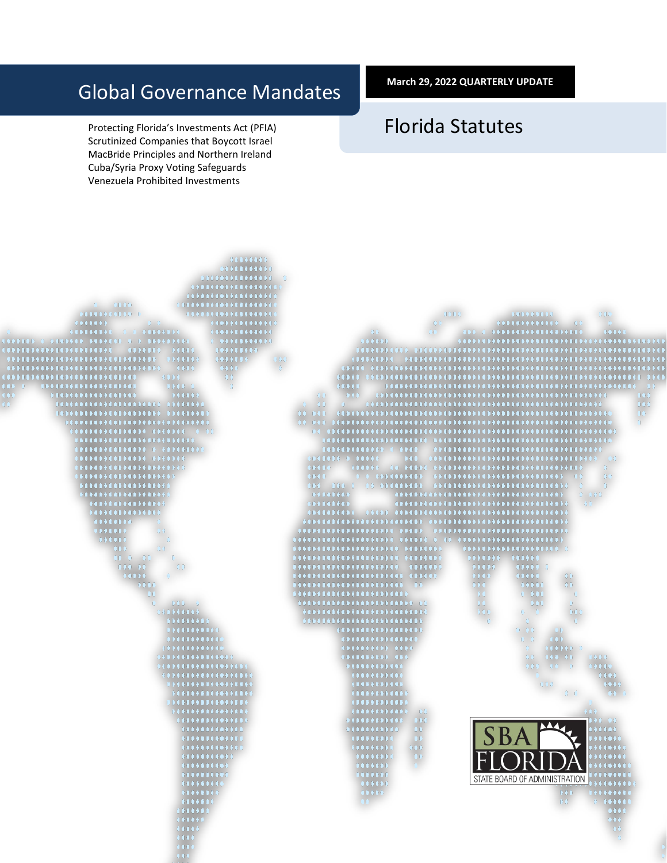# Global Governance Mandates

Protecting Florida's Investments Act (PFIA) Scrutinized Companies that Boycott Israel MacBride Principles and Northern Ireland Cuba/Syria Proxy Voting Safeguards Venezuela Prohibited Investments

**March 29, 2022 QUARTERLY UPDATE**

# Florida Statutes

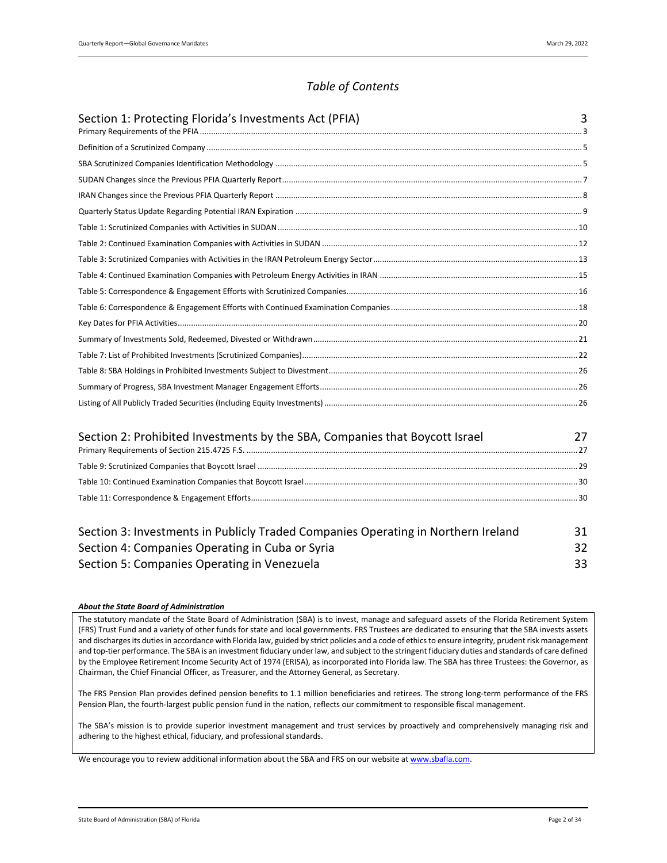# *Table of Contents*

| Section 1: Protecting Florida's Investments Act (PFIA) | 3 |
|--------------------------------------------------------|---|
|                                                        |   |
|                                                        |   |
|                                                        |   |
|                                                        |   |
|                                                        |   |
|                                                        |   |
|                                                        |   |
|                                                        |   |
|                                                        |   |
|                                                        |   |
|                                                        |   |
|                                                        |   |
|                                                        |   |
|                                                        |   |
|                                                        |   |
|                                                        |   |
|                                                        |   |

| Section 2: Prohibited Investments by the SBA, Companies that Boycott Israel |  |
|-----------------------------------------------------------------------------|--|
|                                                                             |  |
|                                                                             |  |
|                                                                             |  |

| Section 3: Investments in Publicly Traded Companies Operating in Northern Ireland |    |
|-----------------------------------------------------------------------------------|----|
| Section 4: Companies Operating in Cuba or Syria                                   |    |
| Section 5: Companies Operating in Venezuela                                       | 33 |

#### *About the State Board of Administration*

The statutory mandate of the State Board of Administration (SBA) is to invest, manage and safeguard assets of the Florida Retirement System (FRS) Trust Fund and a variety of other funds for state and local governments. FRS Trustees are dedicated to ensuring that the SBA invests assets and discharges its duties in accordance with Florida law, guided by strict policies and a code of ethics to ensure integrity, prudent risk management and top-tier performance. The SBA is an investment fiduciary under law, and subject to the stringent fiduciary duties and standards of care defined by the Employee Retirement Income Security Act of 1974 (ERISA), as incorporated into Florida law. The SBA has three Trustees: the Governor, as Chairman, the Chief Financial Officer, as Treasurer, and the Attorney General, as Secretary.

The FRS Pension Plan provides defined pension benefits to 1.1 million beneficiaries and retirees. The strong long-term performance of the FRS Pension Plan, the fourth-largest public pension fund in the nation, reflects our commitment to responsible fiscal management.

The SBA's mission is to provide superior investment management and trust services by proactively and comprehensively managing risk and adhering to the highest ethical, fiduciary, and professional standards.

We encourage you to review additional information about the SBA and FRS on our website at www.sbafla.com.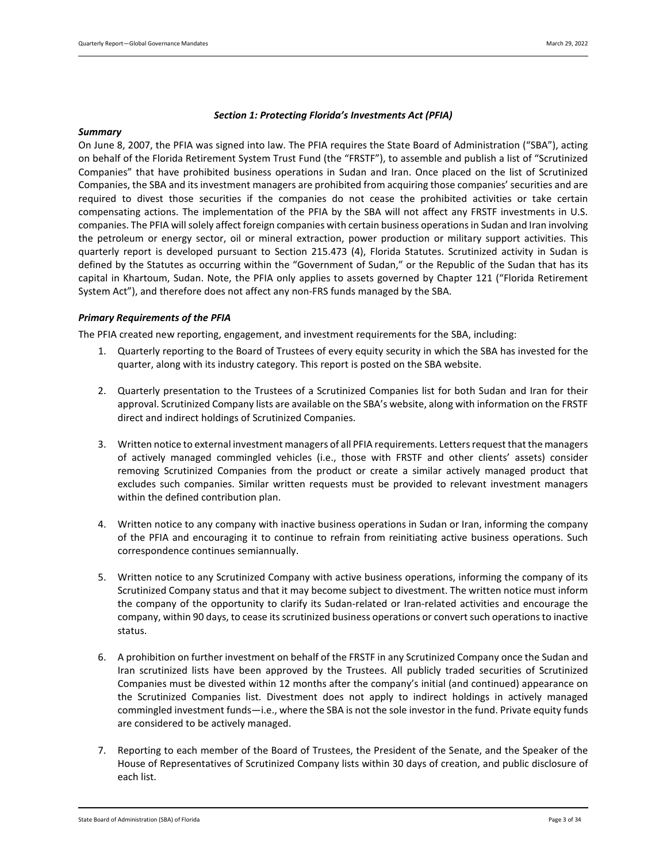#### *Section 1: Protecting Florida's Investments Act (PFIA)*

#### <span id="page-2-0"></span>*Summary*

On June 8, 2007, the PFIA was signed into law. The PFIA requires the State Board of Administration ("SBA"), acting on behalf of the Florida Retirement System Trust Fund (the "FRSTF"), to assemble and publish a list of "Scrutinized Companies" that have prohibited business operations in Sudan and Iran. Once placed on the list of Scrutinized Companies, the SBA and its investment managers are prohibited from acquiring those companies' securities and are required to divest those securities if the companies do not cease the prohibited activities or take certain compensating actions. The implementation of the PFIA by the SBA will not affect any FRSTF investments in U.S. companies. The PFIA will solely affect foreign companies with certain business operations in Sudan and Iran involving the petroleum or energy sector, oil or mineral extraction, power production or military support activities. This quarterly report is developed pursuant to Section 215.473 (4), Florida Statutes. Scrutinized activity in Sudan is defined by the Statutes as occurring within the "Government of Sudan," or the Republic of the Sudan that has its capital in Khartoum, Sudan. Note, the PFIA only applies to assets governed by Chapter 121 ("Florida Retirement System Act"), and therefore does not affect any non-FRS funds managed by the SBA.

#### <span id="page-2-1"></span>*Primary Requirements of the PFIA*

The PFIA created new reporting, engagement, and investment requirements for the SBA, including:

- 1. Quarterly reporting to the Board of Trustees of every equity security in which the SBA has invested for the quarter, along with its industry category. This report is posted on the SBA website.
- 2. Quarterly presentation to the Trustees of a Scrutinized Companies list for both Sudan and Iran for their approval. Scrutinized Company lists are available on the SBA's website, along with information on the FRSTF direct and indirect holdings of Scrutinized Companies.
- 3. Written notice to external investment managers of all PFIA requirements. Letters request that the managers of actively managed commingled vehicles (i.e., those with FRSTF and other clients' assets) consider removing Scrutinized Companies from the product or create a similar actively managed product that excludes such companies. Similar written requests must be provided to relevant investment managers within the defined contribution plan.
- 4. Written notice to any company with inactive business operations in Sudan or Iran, informing the company of the PFIA and encouraging it to continue to refrain from reinitiating active business operations. Such correspondence continues semiannually.
- 5. Written notice to any Scrutinized Company with active business operations, informing the company of its Scrutinized Company status and that it may become subject to divestment. The written notice must inform the company of the opportunity to clarify its Sudan-related or Iran-related activities and encourage the company, within 90 days, to cease its scrutinized business operations or convert such operations to inactive status.
- 6. A prohibition on further investment on behalf of the FRSTF in any Scrutinized Company once the Sudan and Iran scrutinized lists have been approved by the Trustees. All publicly traded securities of Scrutinized Companies must be divested within 12 months after the company's initial (and continued) appearance on the Scrutinized Companies list. Divestment does not apply to indirect holdings in actively managed commingled investment funds—i.e., where the SBA is not the sole investor in the fund. Private equity funds are considered to be actively managed.
- 7. Reporting to each member of the Board of Trustees, the President of the Senate, and the Speaker of the House of Representatives of Scrutinized Company lists within 30 days of creation, and public disclosure of each list.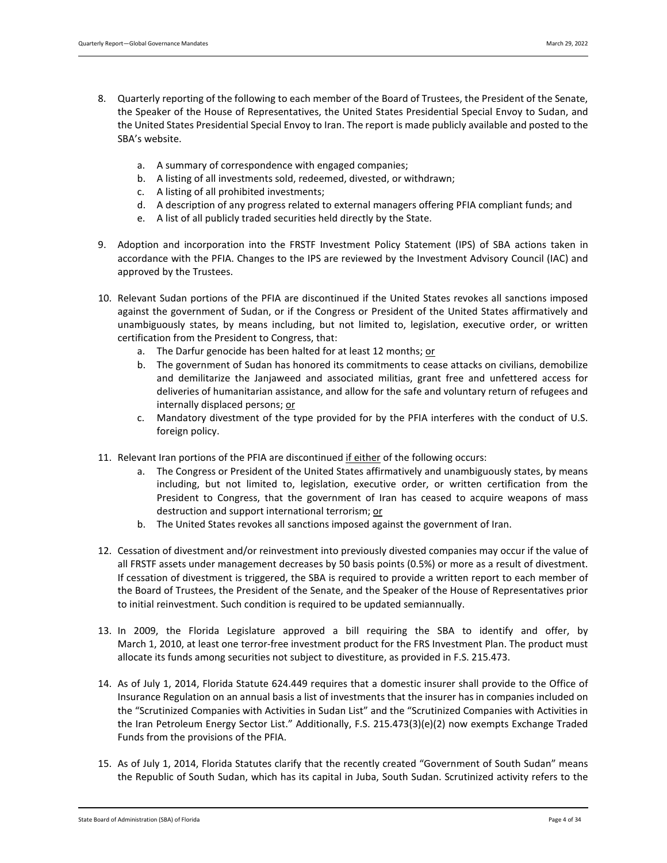- 8. Quarterly reporting of the following to each member of the Board of Trustees, the President of the Senate, the Speaker of the House of Representatives, the United States Presidential Special Envoy to Sudan, and the United States Presidential Special Envoy to Iran. The report is made publicly available and posted to the SBA's website.
	- a. A summary of correspondence with engaged companies;
	- b. A listing of all investments sold, redeemed, divested, or withdrawn;
	- c. A listing of all prohibited investments;
	- d. A description of any progress related to external managers offering PFIA compliant funds; and
	- e. A list of all publicly traded securities held directly by the State.
- 9. Adoption and incorporation into the FRSTF Investment Policy Statement (IPS) of SBA actions taken in accordance with the PFIA. Changes to the IPS are reviewed by the Investment Advisory Council (IAC) and approved by the Trustees.
- 10. Relevant Sudan portions of the PFIA are discontinued if the United States revokes all sanctions imposed against the government of Sudan, or if the Congress or President of the United States affirmatively and unambiguously states, by means including, but not limited to, legislation, executive order, or written certification from the President to Congress, that:
	- a. The Darfur genocide has been halted for at least 12 months; or
	- b. The government of Sudan has honored its commitments to cease attacks on civilians, demobilize and demilitarize the Janjaweed and associated militias, grant free and unfettered access for deliveries of humanitarian assistance, and allow for the safe and voluntary return of refugees and internally displaced persons; or
	- c. Mandatory divestment of the type provided for by the PFIA interferes with the conduct of U.S. foreign policy.
- 11. Relevant Iran portions of the PFIA are discontinued if either of the following occurs:
	- a. The Congress or President of the United States affirmatively and unambiguously states, by means including, but not limited to, legislation, executive order, or written certification from the President to Congress, that the government of Iran has ceased to acquire weapons of mass destruction and support international terrorism; or
	- b. The United States revokes all sanctions imposed against the government of Iran.
- 12. Cessation of divestment and/or reinvestment into previously divested companies may occur if the value of all FRSTF assets under management decreases by 50 basis points (0.5%) or more as a result of divestment. If cessation of divestment is triggered, the SBA is required to provide a written report to each member of the Board of Trustees, the President of the Senate, and the Speaker of the House of Representatives prior to initial reinvestment. Such condition is required to be updated semiannually.
- 13. In 2009, the Florida Legislature approved a bill requiring the SBA to identify and offer, by March 1, 2010, at least one terror-free investment product for the FRS Investment Plan. The product must allocate its funds among securities not subject to divestiture, as provided in F.S. 215.473.
- 14. As of July 1, 2014, Florida Statute 624.449 requires that a domestic insurer shall provide to the Office of Insurance Regulation on an annual basis a list of investments that the insurer has in companies included on the "Scrutinized Companies with Activities in Sudan List" and the "Scrutinized Companies with Activities in the Iran Petroleum Energy Sector List." Additionally, F.S. 215.473(3)(e)(2) now exempts Exchange Traded Funds from the provisions of the PFIA.
- 15. As of July 1, 2014, Florida Statutes clarify that the recently created "Government of South Sudan" means the Republic of South Sudan, which has its capital in Juba, South Sudan. Scrutinized activity refers to the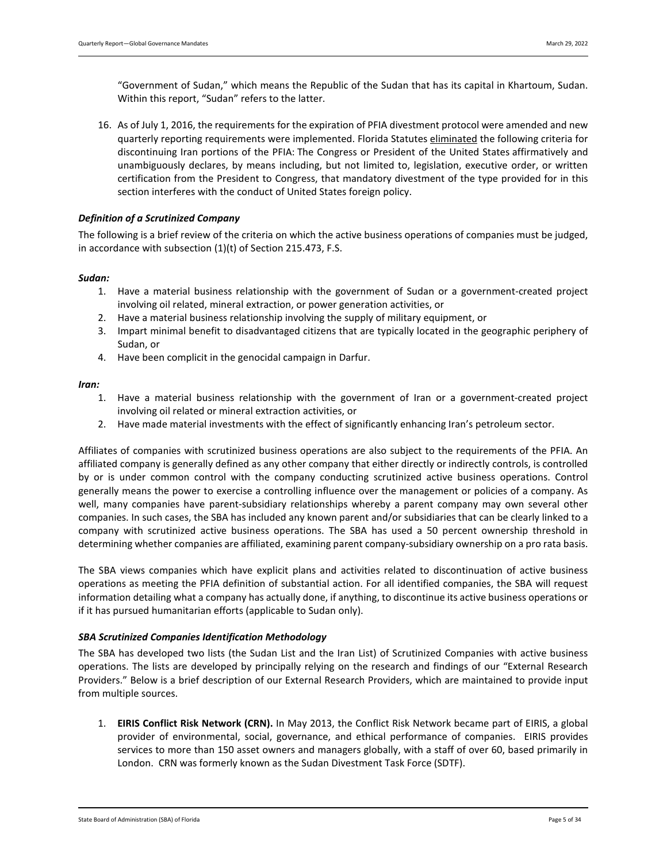"Government of Sudan," which means the Republic of the Sudan that has its capital in Khartoum, Sudan. Within this report, "Sudan" refers to the latter.

16. As of July 1, 2016, the requirements for the expiration of PFIA divestment protocol were amended and new quarterly reporting requirements were implemented. Florida Statutes eliminated the following criteria for discontinuing Iran portions of the PFIA: The Congress or President of the United States affirmatively and unambiguously declares, by means including, but not limited to, legislation, executive order, or written certification from the President to Congress, that mandatory divestment of the type provided for in this section interferes with the conduct of United States foreign policy.

#### <span id="page-4-0"></span>*Definition of a Scrutinized Company*

The following is a brief review of the criteria on which the active business operations of companies must be judged, in accordance with subsection (1)(t) of Section 215.473, F.S.

#### *Sudan:*

- 1. Have a material business relationship with the government of Sudan or a government-created project involving oil related, mineral extraction, or power generation activities, or
- 2. Have a material business relationship involving the supply of military equipment, or
- 3. Impart minimal benefit to disadvantaged citizens that are typically located in the geographic periphery of Sudan, or
- 4. Have been complicit in the genocidal campaign in Darfur.

#### *Iran:*

- 1. Have a material business relationship with the government of Iran or a government-created project involving oil related or mineral extraction activities, or
- 2. Have made material investments with the effect of significantly enhancing Iran's petroleum sector.

Affiliates of companies with scrutinized business operations are also subject to the requirements of the PFIA. An affiliated company is generally defined as any other company that either directly or indirectly controls, is controlled by or is under common control with the company conducting scrutinized active business operations. Control generally means the power to exercise a controlling influence over the management or policies of a company. As well, many companies have parent-subsidiary relationships whereby a parent company may own several other companies. In such cases, the SBA has included any known parent and/or subsidiaries that can be clearly linked to a company with scrutinized active business operations. The SBA has used a 50 percent ownership threshold in determining whether companies are affiliated, examining parent company-subsidiary ownership on a pro rata basis.

The SBA views companies which have explicit plans and activities related to discontinuation of active business operations as meeting the PFIA definition of substantial action. For all identified companies, the SBA will request information detailing what a company has actually done, if anything, to discontinue its active business operations or if it has pursued humanitarian efforts (applicable to Sudan only).

#### <span id="page-4-1"></span>*SBA Scrutinized Companies Identification Methodology*

The SBA has developed two lists (the Sudan List and the Iran List) of Scrutinized Companies with active business operations. The lists are developed by principally relying on the research and findings of our "External Research Providers." Below is a brief description of our External Research Providers, which are maintained to provide input from multiple sources.

1. **EIRIS Conflict Risk Network (CRN).** In May 2013, the Conflict Risk Network became part of EIRIS, a global provider of environmental, social, governance, and ethical performance of companies. EIRIS provides services to more than 150 asset owners and managers globally, with a staff of over 60, based primarily in London. CRN was formerly known as the Sudan Divestment Task Force (SDTF).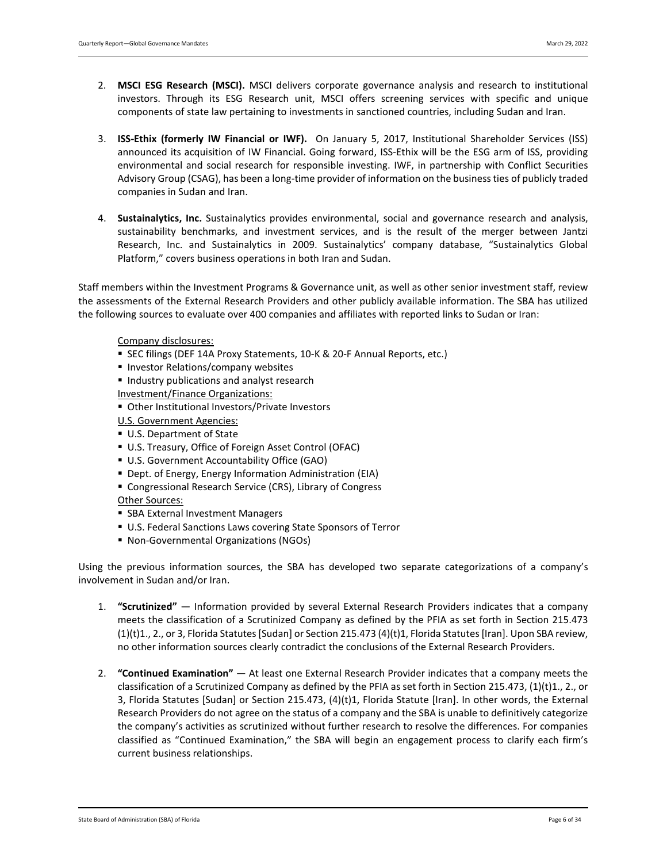- 2. **MSCI ESG Research (MSCI).** MSCI delivers corporate governance analysis and research to institutional investors. Through its ESG Research unit, MSCI offers screening services with specific and unique components of state law pertaining to investments in sanctioned countries, including Sudan and Iran.
- 3. **ISS-Ethix (formerly IW Financial or IWF).** On January 5, 2017, Institutional Shareholder Services (ISS) announced its acquisition of IW Financial. Going forward, ISS-Ethix will be the ESG arm of ISS, providing environmental and social research for responsible investing. IWF, in partnership with Conflict Securities Advisory Group (CSAG), has been a long-time provider of information on the business ties of publicly traded companies in Sudan and Iran.
- 4. **Sustainalytics, Inc.** Sustainalytics provides environmental, social and governance research and analysis, sustainability benchmarks, and investment services, and is the result of the merger between Jantzi Research, Inc. and Sustainalytics in 2009. Sustainalytics' company database, "Sustainalytics Global Platform," covers business operations in both Iran and Sudan.

Staff members within the Investment Programs & Governance unit, as well as other senior investment staff, review the assessments of the External Research Providers and other publicly available information. The SBA has utilized the following sources to evaluate over 400 companies and affiliates with reported links to Sudan or Iran:

#### Company disclosures:

- SEC filings (DEF 14A Proxy Statements, 10-K & 20-F Annual Reports, etc.)
- **Investor Relations/company websites**
- **Industry publications and analyst research**
- Investment/Finance Organizations:
- Other Institutional Investors/Private Investors
- U.S. Government Agencies:
- U.S. Department of State
- U.S. Treasury, Office of Foreign Asset Control (OFAC)
- **U.S. Government Accountability Office (GAO)**
- Dept. of Energy, Energy Information Administration (EIA)
- Congressional Research Service (CRS), Library of Congress

#### Other Sources:

- **SBA External Investment Managers**
- U.S. Federal Sanctions Laws covering State Sponsors of Terror
- Non-Governmental Organizations (NGOs)

Using the previous information sources, the SBA has developed two separate categorizations of a company's involvement in Sudan and/or Iran.

- 1. **"Scrutinized"**  Information provided by several External Research Providers indicates that a company meets the classification of a Scrutinized Company as defined by the PFIA as set forth in Section 215.473 (1)(t)1., 2., or 3, Florida Statutes [Sudan] or Section 215.473 (4)(t)1, Florida Statutes [Iran]. Upon SBA review, no other information sources clearly contradict the conclusions of the External Research Providers.
- 2. **"Continued Examination"**  At least one External Research Provider indicates that a company meets the classification of a Scrutinized Company as defined by the PFIA as set forth in Section 215.473, (1)(t)1., 2., or 3, Florida Statutes [Sudan] or Section 215.473, (4)(t)1, Florida Statute [Iran]. In other words, the External Research Providers do not agree on the status of a company and the SBA is unable to definitively categorize the company's activities as scrutinized without further research to resolve the differences. For companies classified as "Continued Examination," the SBA will begin an engagement process to clarify each firm's current business relationships.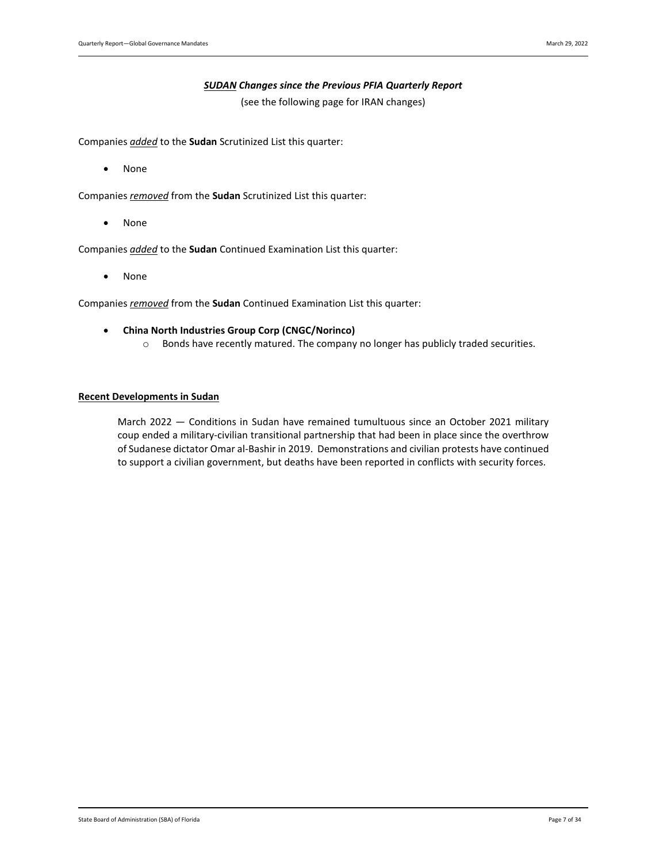#### *SUDAN Changes since the Previous PFIA Quarterly Report*

(see the following page for IRAN changes)

<span id="page-6-0"></span>Companies *added* to the **Sudan** Scrutinized List this quarter:

• None

Companies *removed* from the **Sudan** Scrutinized List this quarter:

• None

Companies *added* to the **Sudan** Continued Examination List this quarter:

• None

Companies *removed* from the **Sudan** Continued Examination List this quarter:

- **China North Industries Group Corp (CNGC/Norinco)**
	- o Bonds have recently matured. The company no longer has publicly traded securities.

#### **Recent Developments in Sudan**

March 2022 — Conditions in Sudan have remained tumultuous since an October 2021 military coup ended a military-civilian transitional partnership that had been in place since the overthrow of Sudanese dictator Omar al-Bashir in 2019. Demonstrations and civilian protests have continued to support a civilian government, but deaths have been reported in conflicts with security forces.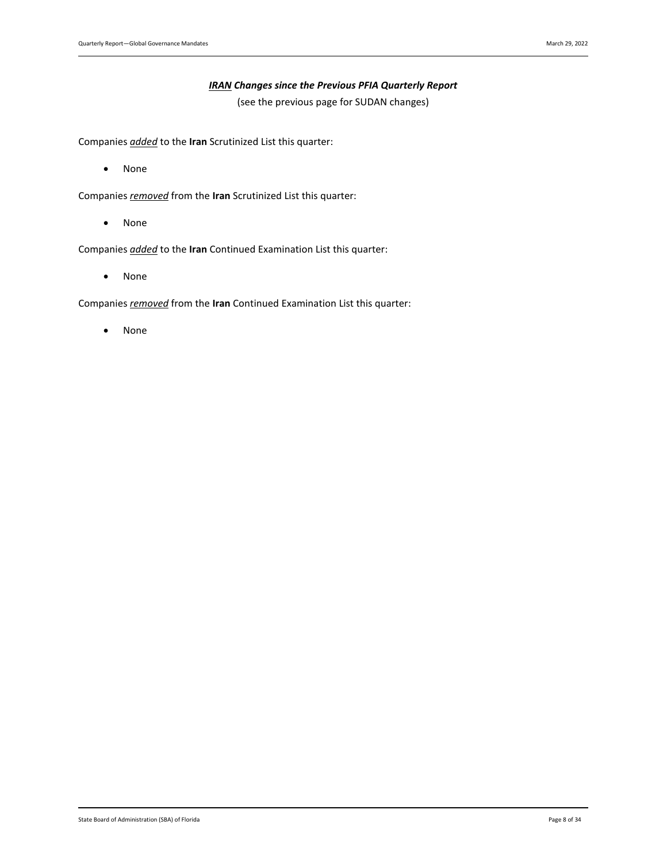#### *IRAN Changes since the Previous PFIA Quarterly Report*

(see the previous page for SUDAN changes)

<span id="page-7-0"></span>Companies *added* to the **Iran** Scrutinized List this quarter:

• None

Companies *removed* from the **Iran** Scrutinized List this quarter:

• None

Companies *added* to the **Iran** Continued Examination List this quarter:

• None

Companies *removed* from the **Iran** Continued Examination List this quarter:

• None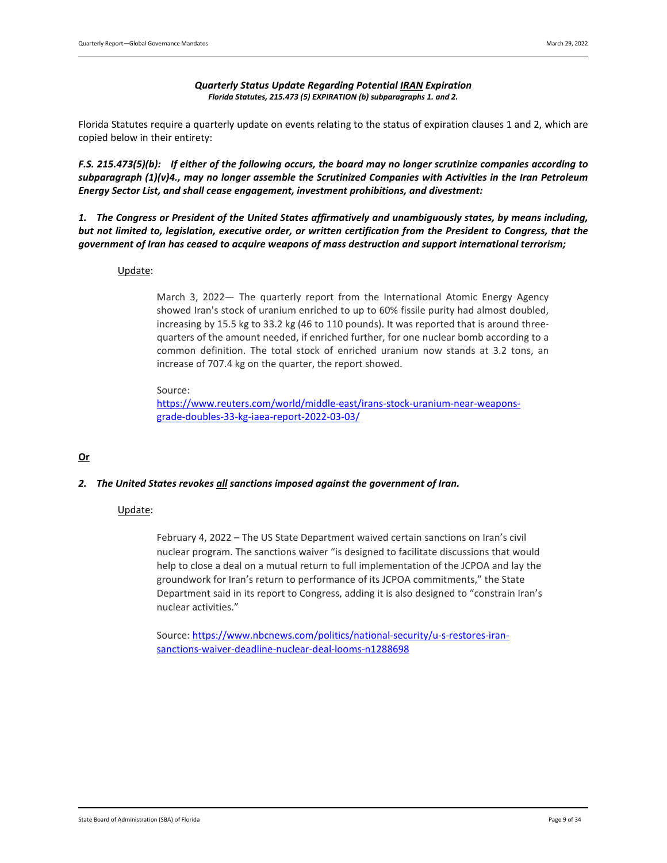#### *Quarterly Status Update Regarding Potential IRAN Expiration Florida Statutes, 215.473 (5) EXPIRATION (b) subparagraphs 1. and 2.*

<span id="page-8-0"></span>Florida Statutes require a quarterly update on events relating to the status of expiration clauses 1 and 2, which are copied below in their entirety:

*F.S. 215.473(5)(b): If either of the following occurs, the board may no longer scrutinize companies according to subparagraph (1)(v)4., may no longer assemble the Scrutinized Companies with Activities in the Iran Petroleum Energy Sector List, and shall cease engagement, investment prohibitions, and divestment:*

*1. The Congress or President of the United States affirmatively and unambiguously states, by means including, but not limited to, legislation, executive order, or written certification from the President to Congress, that the government of Iran has ceased to acquire weapons of mass destruction and support international terrorism;* 

#### Update:

March 3, 2022— The quarterly report from the International Atomic Energy Agency showed Iran's stock of uranium enriched to up to 60% fissile purity had almost doubled, increasing by 15.5 kg to 33.2 kg (46 to 110 pounds). It was reported that is around threequarters of the amount needed, if enriched further, for one nuclear bomb according to a common definition. The total stock of enriched uranium now stands at 3.2 tons, an increase of 707.4 kg on the quarter, the report showed.

#### Source:

[https://www.reuters.com/world/middle-east/irans-stock-uranium-near-weapons](https://www.reuters.com/world/middle-east/irans-stock-uranium-near-weapons-grade-doubles-33-kg-iaea-report-2022-03-03/)[grade-doubles-33-kg-iaea-report-2022-03-03/](https://www.reuters.com/world/middle-east/irans-stock-uranium-near-weapons-grade-doubles-33-kg-iaea-report-2022-03-03/)

## **Or**

#### *2. The United States revokes all sanctions imposed against the government of Iran.*

## Update:

February 4, 2022 – The US State Department waived certain sanctions on Iran's civil nuclear program. The sanctions waiver "is designed to facilitate discussions that would help to close a deal on a mutual return to full implementation of the JCPOA and lay the groundwork for Iran's return to performance of its JCPOA commitments," the State Department said in its report to Congress, adding it is also designed to "constrain Iran's nuclear activities."

Source[: https://www.nbcnews.com/politics/national-security/u-s-restores-iran](https://www.nbcnews.com/politics/national-security/u-s-restores-iran-sanctions-waiver-deadline-nuclear-deal-looms-n1288698)[sanctions-waiver-deadline-nuclear-deal-looms-n1288698](https://www.nbcnews.com/politics/national-security/u-s-restores-iran-sanctions-waiver-deadline-nuclear-deal-looms-n1288698)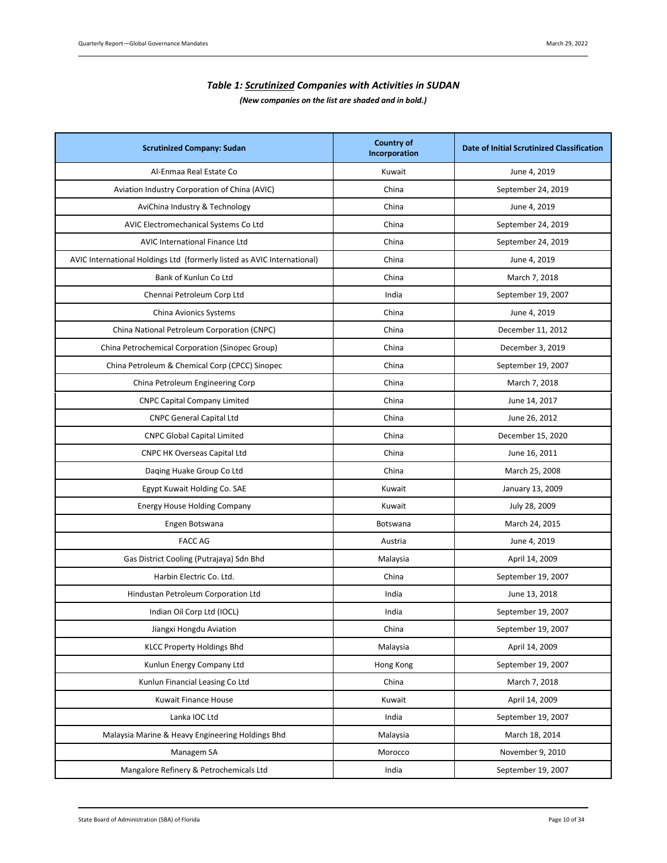# *Table 1: Scrutinized Companies with Activities in SUDAN (New companies on the list are shaded and in bold.)*

<span id="page-9-0"></span>

| <b>Scrutinized Company: Sudan</b>                                       | <b>Country of</b><br>Incorporation | Date of Initial Scrutinized Classification |
|-------------------------------------------------------------------------|------------------------------------|--------------------------------------------|
| Al-Enmaa Real Estate Co                                                 | Kuwait                             | June 4, 2019                               |
| Aviation Industry Corporation of China (AVIC)                           | China                              | September 24, 2019                         |
| AviChina Industry & Technology                                          | China                              | June 4, 2019                               |
| AVIC Electromechanical Systems Co Ltd                                   | China                              | September 24, 2019                         |
| <b>AVIC International Finance Ltd</b>                                   | China                              | September 24, 2019                         |
| AVIC International Holdings Ltd (formerly listed as AVIC International) | China                              | June 4, 2019                               |
| Bank of Kunlun Co Ltd                                                   | China                              | March 7, 2018                              |
| Chennai Petroleum Corp Ltd                                              | India                              | September 19, 2007                         |
| China Avionics Systems                                                  | China                              | June 4, 2019                               |
| China National Petroleum Corporation (CNPC)                             | China                              | December 11, 2012                          |
| China Petrochemical Corporation (Sinopec Group)                         | China                              | December 3, 2019                           |
| China Petroleum & Chemical Corp (CPCC) Sinopec                          | China                              | September 19, 2007                         |
| China Petroleum Engineering Corp                                        | China                              | March 7, 2018                              |
| <b>CNPC Capital Company Limited</b>                                     | China                              | June 14, 2017                              |
| <b>CNPC General Capital Ltd</b>                                         | China                              | June 26, 2012                              |
| <b>CNPC Global Capital Limited</b>                                      | China                              | December 15, 2020                          |
| <b>CNPC HK Overseas Capital Ltd</b>                                     | China                              | June 16, 2011                              |
| Daqing Huake Group Co Ltd                                               | China                              | March 25, 2008                             |
| Egypt Kuwait Holding Co. SAE                                            | Kuwait                             | January 13, 2009                           |
| <b>Energy House Holding Company</b>                                     | Kuwait                             | July 28, 2009                              |
| Engen Botswana                                                          | Botswana                           | March 24, 2015                             |
| <b>FACC AG</b>                                                          | Austria                            | June 4, 2019                               |
| Gas District Cooling (Putrajaya) Sdn Bhd                                | Malaysia                           | April 14, 2009                             |
| Harbin Electric Co. Ltd.                                                | China                              | September 19, 2007                         |
| Hindustan Petroleum Corporation Ltd                                     | India                              | June 13, 2018                              |
| Indian Oil Corp Ltd (IOCL)                                              | India                              | September 19, 2007                         |
| Jiangxi Hongdu Aviation                                                 | China                              | September 19, 2007                         |
| <b>KLCC Property Holdings Bhd</b>                                       | Malaysia                           | April 14, 2009                             |
| Kunlun Energy Company Ltd                                               | Hong Kong                          | September 19, 2007                         |
| Kunlun Financial Leasing Co Ltd                                         | China                              | March 7, 2018                              |
| Kuwait Finance House                                                    | Kuwait                             | April 14, 2009                             |
| Lanka IOC Ltd                                                           | India                              | September 19, 2007                         |
| Malaysia Marine & Heavy Engineering Holdings Bhd                        | Malaysia                           | March 18, 2014                             |
| Managem SA                                                              | Morocco                            | November 9, 2010                           |
| Mangalore Refinery & Petrochemicals Ltd                                 | India                              | September 19, 2007                         |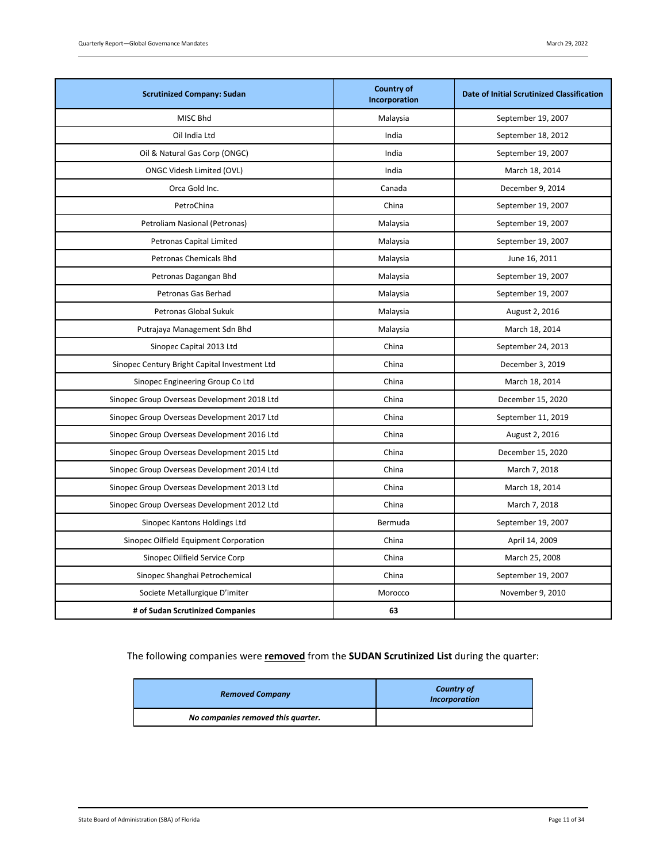| <b>Scrutinized Company: Sudan</b>             | <b>Country of</b><br>Incorporation | <b>Date of Initial Scrutinized Classification</b> |
|-----------------------------------------------|------------------------------------|---------------------------------------------------|
| MISC Bhd                                      | Malaysia                           | September 19, 2007                                |
| Oil India Ltd                                 | India                              | September 18, 2012                                |
| Oil & Natural Gas Corp (ONGC)                 | India                              | September 19, 2007                                |
| ONGC Videsh Limited (OVL)                     | India                              | March 18, 2014                                    |
| Orca Gold Inc.                                | Canada                             | December 9, 2014                                  |
| PetroChina                                    | China                              | September 19, 2007                                |
| Petroliam Nasional (Petronas)                 | Malaysia                           | September 19, 2007                                |
| Petronas Capital Limited                      | Malaysia                           | September 19, 2007                                |
| Petronas Chemicals Bhd                        | Malaysia                           | June 16, 2011                                     |
| Petronas Dagangan Bhd                         | Malaysia                           | September 19, 2007                                |
| Petronas Gas Berhad                           | Malaysia                           | September 19, 2007                                |
| Petronas Global Sukuk                         | Malaysia                           | August 2, 2016                                    |
| Putrajaya Management Sdn Bhd                  | Malaysia                           | March 18, 2014                                    |
| Sinopec Capital 2013 Ltd                      | China                              | September 24, 2013                                |
| Sinopec Century Bright Capital Investment Ltd | China                              | December 3, 2019                                  |
| Sinopec Engineering Group Co Ltd              | China                              | March 18, 2014                                    |
| Sinopec Group Overseas Development 2018 Ltd   | China                              | December 15, 2020                                 |
| Sinopec Group Overseas Development 2017 Ltd   | China                              | September 11, 2019                                |
| Sinopec Group Overseas Development 2016 Ltd   | China                              | August 2, 2016                                    |
| Sinopec Group Overseas Development 2015 Ltd   | China                              | December 15, 2020                                 |
| Sinopec Group Overseas Development 2014 Ltd   | China                              | March 7, 2018                                     |
| Sinopec Group Overseas Development 2013 Ltd   | China                              | March 18, 2014                                    |
| Sinopec Group Overseas Development 2012 Ltd   | China                              | March 7, 2018                                     |
| Sinopec Kantons Holdings Ltd                  | Bermuda                            | September 19, 2007                                |
| Sinopec Oilfield Equipment Corporation        | China                              | April 14, 2009                                    |
| Sinopec Oilfield Service Corp                 | China                              | March 25, 2008                                    |
| Sinopec Shanghai Petrochemical                | China                              | September 19, 2007                                |
| Societe Metallurgique D'imiter                | Morocco                            | November 9, 2010                                  |
| # of Sudan Scrutinized Companies              | 63                                 |                                                   |

The following companies were **removed** from the **SUDAN Scrutinized List** during the quarter:

| <b>Removed Company</b>             | <b>Country of</b><br><b>Incorporation</b> |
|------------------------------------|-------------------------------------------|
| No companies removed this quarter. |                                           |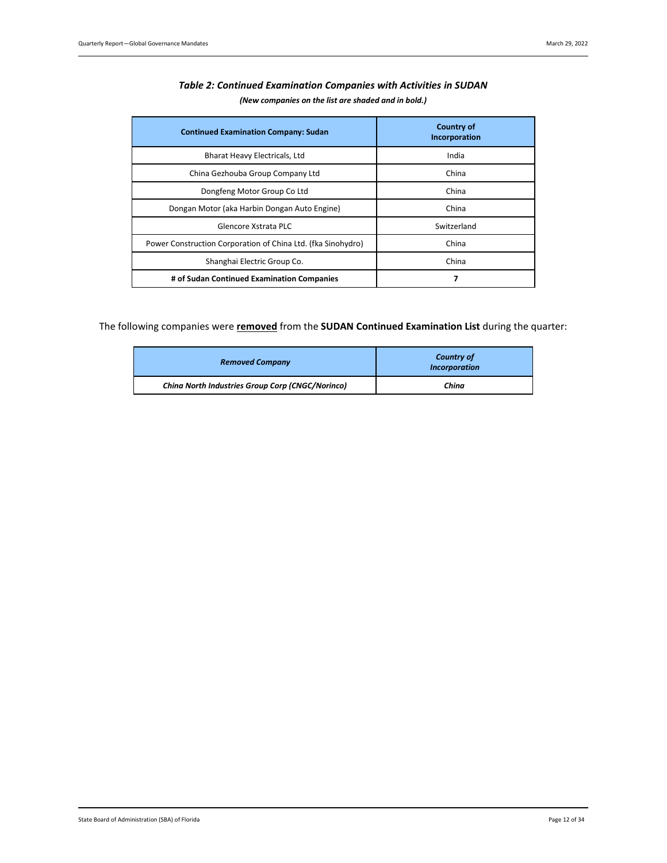<span id="page-11-0"></span>

| <b>Continued Examination Company: Sudan</b>                  | <b>Country of</b><br>Incorporation |
|--------------------------------------------------------------|------------------------------------|
| Bharat Heavy Electricals, Ltd                                | India                              |
| China Gezhouba Group Company Ltd                             | China                              |
| Dongfeng Motor Group Co Ltd                                  | China                              |
| Dongan Motor (aka Harbin Dongan Auto Engine)                 | China                              |
| Glencore Xstrata PLC                                         | Switzerland                        |
| Power Construction Corporation of China Ltd. (fka Sinohydro) | China                              |
| Shanghai Electric Group Co.                                  | China                              |
| # of Sudan Continued Examination Companies                   | 7                                  |

## *Table 2: Continued Examination Companies with Activities in SUDAN (New companies on the list are shaded and in bold.)*

The following companies were **removed** from the **SUDAN Continued Examination List** during the quarter:

| <b>Removed Company</b>                                  | <b>Country of</b><br><b>Incorporation</b> |
|---------------------------------------------------------|-------------------------------------------|
| <b>China North Industries Group Corp (CNGC/Norinco)</b> | China                                     |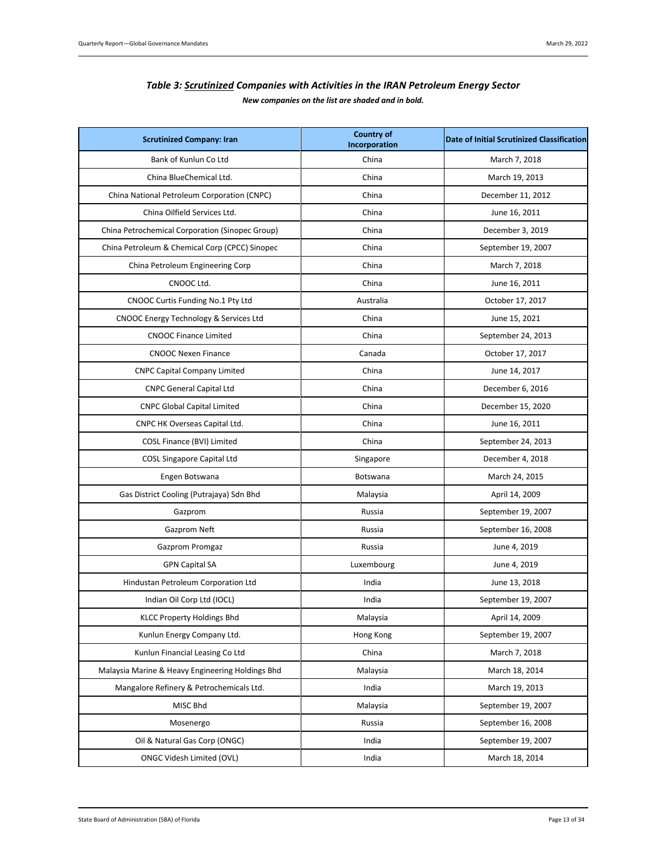| Table 3: Scrutinized Companies with Activities in the IRAN Petroleum Energy Sector |
|------------------------------------------------------------------------------------|
| New companies on the list are shaded and in bold.                                  |

<span id="page-12-0"></span>

| <b>Scrutinized Company: Iran</b>                 | <b>Country of</b><br>Incorporation | <b>Date of Initial Scrutinized Classification</b> |
|--------------------------------------------------|------------------------------------|---------------------------------------------------|
| Bank of Kunlun Co Ltd                            | China                              | March 7, 2018                                     |
| China BlueChemical Ltd.                          | China                              | March 19, 2013                                    |
| China National Petroleum Corporation (CNPC)      | China                              | December 11, 2012                                 |
| China Oilfield Services Ltd.                     | China                              | June 16, 2011                                     |
| China Petrochemical Corporation (Sinopec Group)  | China                              | December 3, 2019                                  |
| China Petroleum & Chemical Corp (CPCC) Sinopec   | China                              | September 19, 2007                                |
| China Petroleum Engineering Corp                 | China                              | March 7, 2018                                     |
| CNOOC Ltd.                                       | China                              | June 16, 2011                                     |
| CNOOC Curtis Funding No.1 Pty Ltd                | Australia                          | October 17, 2017                                  |
| CNOOC Energy Technology & Services Ltd           | China                              | June 15, 2021                                     |
| <b>CNOOC Finance Limited</b>                     | China                              | September 24, 2013                                |
| <b>CNOOC Nexen Finance</b>                       | Canada                             | October 17, 2017                                  |
| <b>CNPC Capital Company Limited</b>              | China                              | June 14, 2017                                     |
| <b>CNPC General Capital Ltd</b>                  | China                              | December 6, 2016                                  |
| <b>CNPC Global Capital Limited</b>               | China                              | December 15, 2020                                 |
| CNPC HK Overseas Capital Ltd.                    | China                              | June 16, 2011                                     |
| COSL Finance (BVI) Limited                       | China                              | September 24, 2013                                |
| <b>COSL Singapore Capital Ltd</b>                | Singapore                          | December 4, 2018                                  |
| Engen Botswana                                   | Botswana                           | March 24, 2015                                    |
| Gas District Cooling (Putrajaya) Sdn Bhd         | Malaysia                           | April 14, 2009                                    |
| Gazprom                                          | Russia                             | September 19, 2007                                |
| Gazprom Neft                                     | Russia                             | September 16, 2008                                |
| Gazprom Promgaz                                  | Russia                             | June 4, 2019                                      |
| <b>GPN Capital SA</b>                            | Luxembourg                         | June 4, 2019                                      |
| Hindustan Petroleum Corporation Ltd              | India                              | June 13, 2018                                     |
| Indian Oil Corp Ltd (IOCL)                       | India                              | September 19, 2007                                |
| KLCC Property Holdings Bhd                       | Malaysia                           | April 14, 2009                                    |
| Kunlun Energy Company Ltd.                       | Hong Kong                          | September 19, 2007                                |
| Kunlun Financial Leasing Co Ltd                  | China                              | March 7, 2018                                     |
| Malaysia Marine & Heavy Engineering Holdings Bhd | Malaysia                           | March 18, 2014                                    |
| Mangalore Refinery & Petrochemicals Ltd.         | India                              | March 19, 2013                                    |
| MISC Bhd                                         | Malaysia                           | September 19, 2007                                |
| Mosenergo                                        | Russia                             | September 16, 2008                                |
| Oil & Natural Gas Corp (ONGC)                    | India                              | September 19, 2007                                |
| <b>ONGC Videsh Limited (OVL)</b>                 | India                              | March 18, 2014                                    |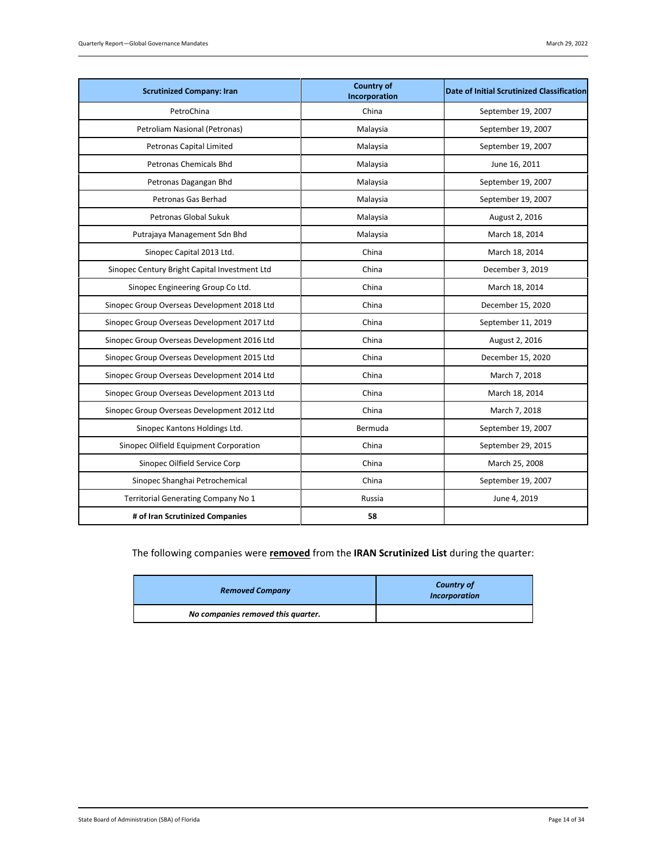| <b>Scrutinized Company: Iran</b>              | <b>Country of</b><br>Incorporation | Date of Initial Scrutinized Classification |
|-----------------------------------------------|------------------------------------|--------------------------------------------|
| PetroChina                                    | China                              | September 19, 2007                         |
| Petroliam Nasional (Petronas)                 | Malaysia                           | September 19, 2007                         |
| Petronas Capital Limited                      | Malaysia                           | September 19, 2007                         |
| Petronas Chemicals Bhd                        | Malaysia                           | June 16, 2011                              |
| Petronas Dagangan Bhd                         | Malaysia                           | September 19, 2007                         |
| Petronas Gas Berhad                           | Malaysia                           | September 19, 2007                         |
| Petronas Global Sukuk                         | Malaysia                           | August 2, 2016                             |
| Putrajaya Management Sdn Bhd                  | Malaysia                           | March 18, 2014                             |
| Sinopec Capital 2013 Ltd.                     | China                              | March 18, 2014                             |
| Sinopec Century Bright Capital Investment Ltd | China                              | December 3, 2019                           |
| Sinopec Engineering Group Co Ltd.             | China                              | March 18, 2014                             |
| Sinopec Group Overseas Development 2018 Ltd   | China                              | December 15, 2020                          |
| Sinopec Group Overseas Development 2017 Ltd   | China                              | September 11, 2019                         |
| Sinopec Group Overseas Development 2016 Ltd   | China                              | August 2, 2016                             |
| Sinopec Group Overseas Development 2015 Ltd   | China                              | December 15, 2020                          |
| Sinopec Group Overseas Development 2014 Ltd   | China                              | March 7, 2018                              |
| Sinopec Group Overseas Development 2013 Ltd   | China                              | March 18, 2014                             |
| Sinopec Group Overseas Development 2012 Ltd   | China                              | March 7, 2018                              |
| Sinopec Kantons Holdings Ltd.                 | Bermuda                            | September 19, 2007                         |
| Sinopec Oilfield Equipment Corporation        | China                              | September 29, 2015                         |
| Sinopec Oilfield Service Corp                 | China                              | March 25, 2008                             |
| Sinopec Shanghai Petrochemical                | China                              | September 19, 2007                         |
| Territorial Generating Company No 1           | Russia                             | June 4, 2019                               |
| # of Iran Scrutinized Companies               | 58                                 |                                            |

# The following companies were **removed** from the **IRAN Scrutinized List** during the quarter:

| <b>Removed Company</b>             | <b>Country of</b><br><b>Incorporation</b> |
|------------------------------------|-------------------------------------------|
| No companies removed this quarter. |                                           |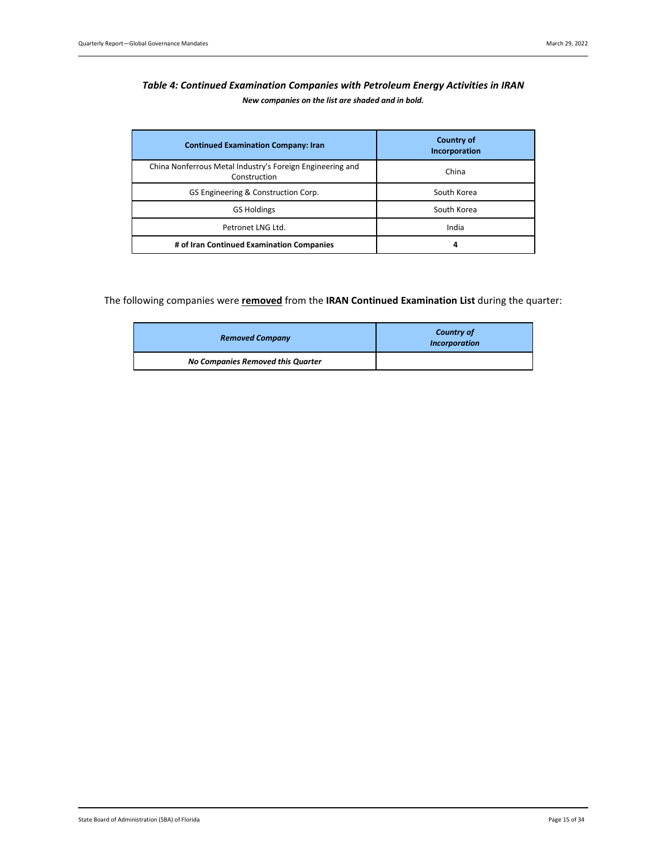# <span id="page-14-0"></span>*Table 4: Continued Examination Companies with Petroleum Energy Activities in IRAN New companies on the list are shaded and in bold.*

| <b>Continued Examination Company: Iran</b>                                | <b>Country of</b><br>Incorporation |
|---------------------------------------------------------------------------|------------------------------------|
| China Nonferrous Metal Industry's Foreign Engineering and<br>Construction | China                              |
| GS Engineering & Construction Corp.                                       | South Korea                        |
| <b>GS Holdings</b>                                                        | South Korea                        |
| Petronet LNG Ltd.                                                         | India                              |
| # of Iran Continued Examination Companies                                 | 4                                  |

## The following companies were **removed** from the **IRAN Continued Examination List** during the quarter:

| <b>Removed Company</b>            | <b>Country of</b><br><b>Incorporation</b> |  |
|-----------------------------------|-------------------------------------------|--|
| No Companies Removed this Quarter |                                           |  |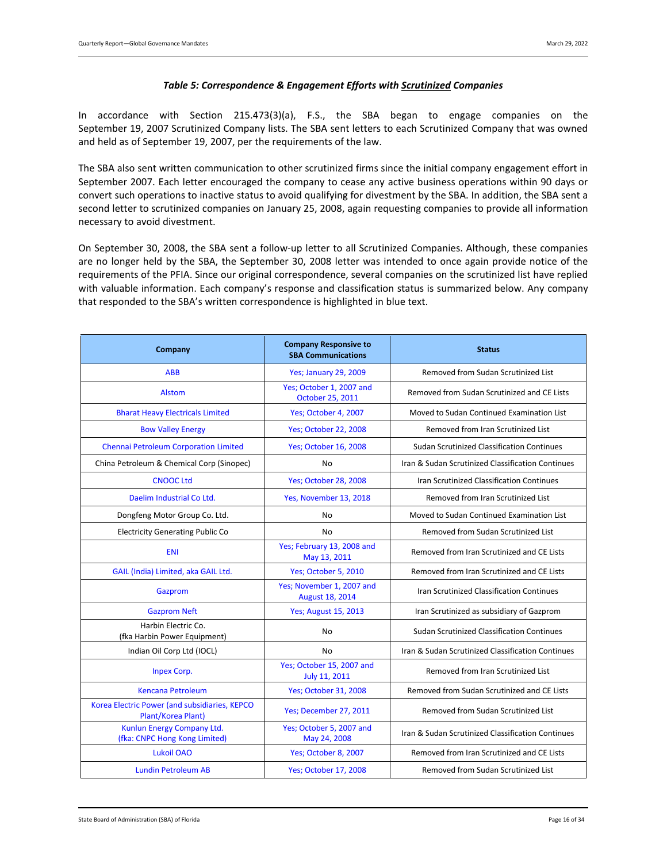#### *Table 5: Correspondence & Engagement Efforts with Scrutinized Companies*

<span id="page-15-0"></span>In accordance with Section 215.473(3)(a), F.S., the SBA began to engage companies on the September 19, 2007 Scrutinized Company lists. The SBA sent letters to each Scrutinized Company that was owned and held as of September 19, 2007, per the requirements of the law.

The SBA also sent written communication to other scrutinized firms since the initial company engagement effort in September 2007. Each letter encouraged the company to cease any active business operations within 90 days or convert such operations to inactive status to avoid qualifying for divestment by the SBA. In addition, the SBA sent a second letter to scrutinized companies on January 25, 2008, again requesting companies to provide all information necessary to avoid divestment.

On September 30, 2008, the SBA sent a follow-up letter to all Scrutinized Companies. Although, these companies are no longer held by the SBA, the September 30, 2008 letter was intended to once again provide notice of the requirements of the PFIA. Since our original correspondence, several companies on the scrutinized list have replied with valuable information. Each company's response and classification status is summarized below. Any company that responded to the SBA's written correspondence is highlighted in blue text.

| Company                                                             | <b>Company Responsive to</b><br><b>SBA Communications</b> | <b>Status</b>                                     |
|---------------------------------------------------------------------|-----------------------------------------------------------|---------------------------------------------------|
| <b>ABB</b>                                                          | <b>Yes; January 29, 2009</b>                              | Removed from Sudan Scrutinized List               |
| <b>Alstom</b>                                                       | Yes; October 1, 2007 and<br>October 25, 2011              | Removed from Sudan Scrutinized and CE Lists       |
| <b>Bharat Heavy Electricals Limited</b>                             | Yes; October 4, 2007                                      | Moved to Sudan Continued Examination List         |
| <b>Bow Valley Energy</b>                                            | <b>Yes; October 22, 2008</b>                              | Removed from Iran Scrutinized List                |
| Chennai Petroleum Corporation Limited                               | Yes; October 16, 2008                                     | <b>Sudan Scrutinized Classification Continues</b> |
| China Petroleum & Chemical Corp (Sinopec)                           | No                                                        | Iran & Sudan Scrutinized Classification Continues |
| <b>CNOOC Ltd</b>                                                    | Yes; October 28, 2008                                     | Iran Scrutinized Classification Continues         |
| Daelim Industrial Co Ltd.                                           | Yes, November 13, 2018                                    | Removed from Iran Scrutinized List                |
| Dongfeng Motor Group Co. Ltd.                                       | No                                                        | Moved to Sudan Continued Examination List         |
| <b>Electricity Generating Public Co</b>                             | No                                                        | Removed from Sudan Scrutinized List               |
| <b>ENI</b>                                                          | Yes; February 13, 2008 and<br>May 13, 2011                | Removed from Iran Scrutinized and CE Lists        |
| GAIL (India) Limited, aka GAIL Ltd.                                 | Yes; October 5, 2010                                      | Removed from Iran Scrutinized and CE Lists        |
| Gazprom                                                             | Yes; November 1, 2007 and<br>August 18, 2014              | Iran Scrutinized Classification Continues         |
| <b>Gazprom Neft</b>                                                 | <b>Yes; August 15, 2013</b>                               | Iran Scrutinized as subsidiary of Gazprom         |
| Harbin Electric Co.<br>(fka Harbin Power Equipment)                 | No                                                        | <b>Sudan Scrutinized Classification Continues</b> |
| Indian Oil Corp Ltd (IOCL)                                          | No                                                        | Iran & Sudan Scrutinized Classification Continues |
| <b>Inpex Corp.</b>                                                  | Yes; October 15, 2007 and<br>July 11, 2011                | Removed from Iran Scrutinized List                |
| <b>Kencana Petroleum</b>                                            | <b>Yes; October 31, 2008</b>                              | Removed from Sudan Scrutinized and CE Lists       |
| Korea Electric Power (and subsidiaries, KEPCO<br>Plant/Korea Plant) | Yes; December 27, 2011                                    | Removed from Sudan Scrutinized List               |
| Kunlun Energy Company Ltd.<br>(fka: CNPC Hong Kong Limited)         | Yes; October 5, 2007 and<br>May 24, 2008                  | Iran & Sudan Scrutinized Classification Continues |
| Lukoil OAO                                                          | Yes; October 8, 2007                                      | Removed from Iran Scrutinized and CE Lists        |
| <b>Lundin Petroleum AB</b>                                          | <b>Yes; October 17, 2008</b>                              | Removed from Sudan Scrutinized List               |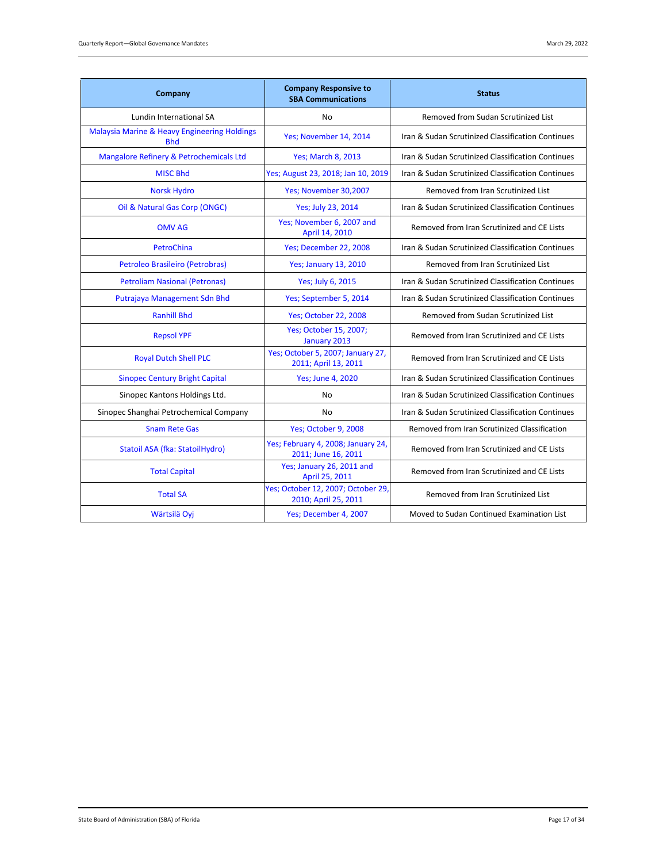| Company                                                               | <b>Company Responsive to</b><br><b>SBA Communications</b>  | <b>Status</b>                                     |
|-----------------------------------------------------------------------|------------------------------------------------------------|---------------------------------------------------|
| Lundin International SA                                               | No                                                         | Removed from Sudan Scrutinized List               |
| <b>Malaysia Marine &amp; Heavy Engineering Holdings</b><br><b>Bhd</b> | Yes; November 14, 2014                                     | Iran & Sudan Scrutinized Classification Continues |
| Mangalore Refinery & Petrochemicals Ltd                               | <b>Yes</b> ; March 8, 2013                                 | Iran & Sudan Scrutinized Classification Continues |
| <b>MISC Bhd</b>                                                       | Yes; August 23, 2018; Jan 10, 2019                         | Iran & Sudan Scrutinized Classification Continues |
| <b>Norsk Hydro</b>                                                    | Yes; November 30,2007                                      | Removed from Iran Scrutinized List                |
| Oil & Natural Gas Corp (ONGC)                                         | Yes; July 23, 2014                                         | Iran & Sudan Scrutinized Classification Continues |
| <b>OMV AG</b>                                                         | Yes; November 6, 2007 and<br>April 14, 2010                | Removed from Iran Scrutinized and CE Lists        |
| PetroChina                                                            | Yes; December 22, 2008                                     | Iran & Sudan Scrutinized Classification Continues |
| Petroleo Brasileiro (Petrobras)                                       | <b>Yes; January 13, 2010</b>                               | Removed from Iran Scrutinized List                |
| <b>Petroliam Nasional (Petronas)</b>                                  | Yes; July 6, 2015                                          | Iran & Sudan Scrutinized Classification Continues |
| Putrajaya Management Sdn Bhd                                          | Yes; September 5, 2014                                     | Iran & Sudan Scrutinized Classification Continues |
| <b>Ranhill Bhd</b>                                                    | <b>Yes; October 22, 2008</b>                               | Removed from Sudan Scrutinized List               |
| <b>Repsol YPF</b>                                                     | Yes; October 15, 2007;<br>January 2013                     | Removed from Iran Scrutinized and CE Lists        |
| <b>Royal Dutch Shell PLC</b>                                          | Yes; October 5, 2007; January 27,<br>2011; April 13, 2011  | Removed from Iran Scrutinized and CE Lists        |
| <b>Sinopec Century Bright Capital</b>                                 | <b>Yes</b> ; June 4, 2020                                  | Iran & Sudan Scrutinized Classification Continues |
| Sinopec Kantons Holdings Ltd.                                         | No                                                         | Iran & Sudan Scrutinized Classification Continues |
| Sinopec Shanghai Petrochemical Company                                | No                                                         | Iran & Sudan Scrutinized Classification Continues |
| <b>Snam Rete Gas</b>                                                  | Yes; October 9, 2008                                       | Removed from Iran Scrutinized Classification      |
| Statoil ASA (fka: StatoilHydro)                                       | Yes; February 4, 2008; January 24,<br>2011; June 16, 2011  | Removed from Iran Scrutinized and CE Lists        |
| <b>Total Capital</b>                                                  | Yes; January 26, 2011 and<br>April 25, 2011                | Removed from Iran Scrutinized and CE Lists        |
| <b>Total SA</b>                                                       | Yes; October 12, 2007; October 29,<br>2010; April 25, 2011 | Removed from Iran Scrutinized List                |
| Wärtsilä Oyj                                                          | Yes; December 4, 2007                                      | Moved to Sudan Continued Examination List         |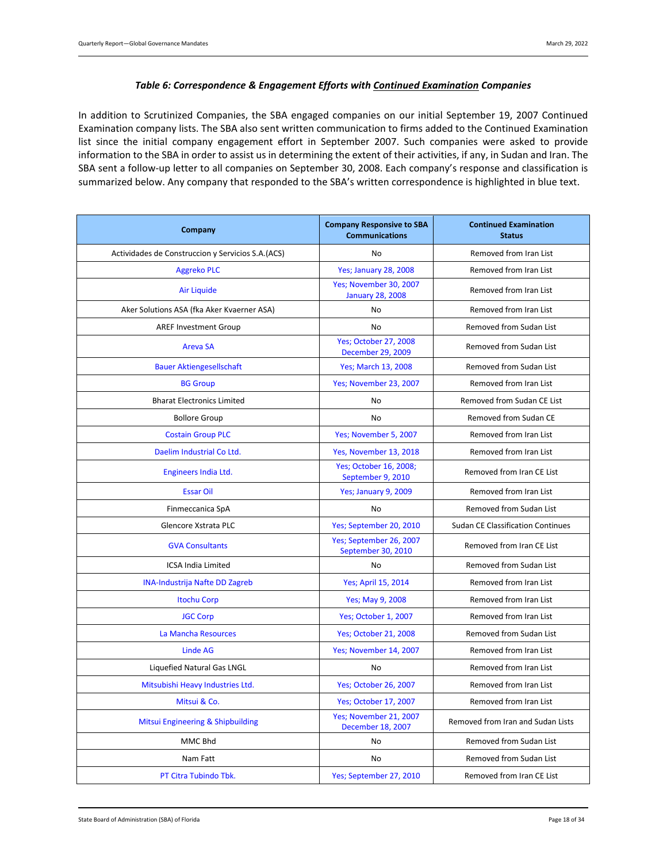#### *Table 6: Correspondence & Engagement Efforts with Continued Examination Companies*

<span id="page-17-0"></span>In addition to Scrutinized Companies, the SBA engaged companies on our initial September 19, 2007 Continued Examination company lists. The SBA also sent written communication to firms added to the Continued Examination list since the initial company engagement effort in September 2007. Such companies were asked to provide information to the SBA in order to assist us in determining the extent of their activities, if any, in Sudan and Iran. The SBA sent a follow-up letter to all companies on September 30, 2008. Each company's response and classification is summarized below. Any company that responded to the SBA's written correspondence is highlighted in blue text.

| Company                                           | <b>Company Responsive to SBA</b><br><b>Communications</b> | <b>Continued Examination</b><br><b>Status</b> |  |
|---------------------------------------------------|-----------------------------------------------------------|-----------------------------------------------|--|
| Actividades de Construccion y Servicios S.A.(ACS) | <b>No</b>                                                 | Removed from Iran List                        |  |
| <b>Aggreko PLC</b>                                | <b>Yes; January 28, 2008</b>                              | Removed from Iran List                        |  |
| <b>Air Liquide</b>                                | Yes; November 30, 2007<br><b>January 28, 2008</b>         | Removed from Iran List                        |  |
| Aker Solutions ASA (fka Aker Kvaerner ASA)        | No                                                        | Removed from Iran List                        |  |
| <b>AREF Investment Group</b>                      | No                                                        | Removed from Sudan List                       |  |
| <b>Areva SA</b>                                   | <b>Yes; October 27, 2008</b><br>December 29, 2009         | Removed from Sudan List                       |  |
| <b>Bauer Aktiengesellschaft</b>                   | Yes; March 13, 2008                                       | Removed from Sudan List                       |  |
| <b>BG Group</b>                                   | Yes; November 23, 2007                                    | Removed from Iran List                        |  |
| <b>Bharat Electronics Limited</b>                 | No                                                        | Removed from Sudan CE List                    |  |
| <b>Bollore Group</b>                              | No                                                        | Removed from Sudan CE                         |  |
| <b>Costain Group PLC</b>                          | Yes; November 5, 2007                                     | Removed from Iran List                        |  |
| Daelim Industrial Co Ltd.                         | Yes, November 13, 2018                                    | Removed from Iran List                        |  |
| Engineers India Ltd.                              | Yes; October 16, 2008;<br>September 9, 2010               | Removed from Iran CE List                     |  |
| <b>Essar Oil</b>                                  | Yes; January 9, 2009                                      | Removed from Iran List                        |  |
| Finmeccanica SpA                                  | No                                                        | Removed from Sudan List                       |  |
| Glencore Xstrata PLC                              | Yes; September 20, 2010                                   | <b>Sudan CE Classification Continues</b>      |  |
| <b>GVA Consultants</b>                            | Yes; September 26, 2007<br>September 30, 2010             | Removed from Iran CE List                     |  |
| <b>ICSA India Limited</b>                         | No                                                        | Removed from Sudan List                       |  |
| <b>INA-Industrija Nafte DD Zagreb</b>             | Yes; April 15, 2014                                       | Removed from Iran List                        |  |
| <b>Itochu Corp</b>                                | Yes; May 9, 2008                                          | Removed from Iran List                        |  |
| <b>JGC Corp</b>                                   | Yes; October 1, 2007                                      | Removed from Iran List                        |  |
| La Mancha Resources                               | <b>Yes; October 21, 2008</b>                              | Removed from Sudan List                       |  |
| <b>Linde AG</b>                                   | Yes; November 14, 2007                                    | Removed from Iran List                        |  |
| Liquefied Natural Gas LNGL                        | <b>No</b>                                                 | Removed from Iran List                        |  |
| Mitsubishi Heavy Industries Ltd.                  | <b>Yes; October 26, 2007</b>                              | Removed from Iran List                        |  |
| Mitsui & Co.                                      | Yes; October 17, 2007                                     | Removed from Iran List                        |  |
| Mitsui Engineering & Shipbuilding                 | Yes; November 21, 2007<br>December 18, 2007               | Removed from Iran and Sudan Lists             |  |
| MMC Bhd                                           | No                                                        | Removed from Sudan List                       |  |
| Nam Fatt                                          | No                                                        | Removed from Sudan List                       |  |
| PT Citra Tubindo Tbk.                             | Yes; September 27, 2010                                   | Removed from Iran CE List                     |  |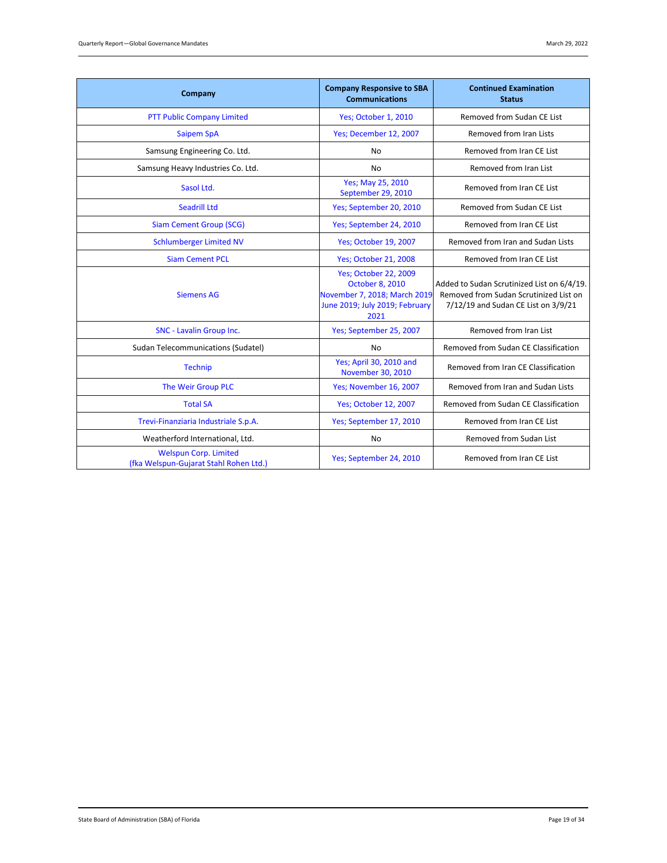| Company                                                                | <b>Company Responsive to SBA</b><br><b>Communications</b>                                                                                                                                                                                                       | <b>Continued Examination</b><br><b>Status</b> |
|------------------------------------------------------------------------|-----------------------------------------------------------------------------------------------------------------------------------------------------------------------------------------------------------------------------------------------------------------|-----------------------------------------------|
| PTT Public Company Limited                                             | Yes; October 1, 2010                                                                                                                                                                                                                                            | Removed from Sudan CE List                    |
| <b>Saipem SpA</b>                                                      | Yes; December 12, 2007                                                                                                                                                                                                                                          | Removed from Iran Lists                       |
| Samsung Engineering Co. Ltd.                                           | No                                                                                                                                                                                                                                                              | Removed from Iran CE List                     |
| Samsung Heavy Industries Co. Ltd.                                      | <b>No</b>                                                                                                                                                                                                                                                       | Removed from Iran List                        |
| Sasol Ltd.                                                             | Yes; May 25, 2010<br>September 29, 2010                                                                                                                                                                                                                         | Removed from Iran CE List                     |
| <b>Seadrill Ltd</b>                                                    | Yes; September 20, 2010                                                                                                                                                                                                                                         | Removed from Sudan CE List                    |
| <b>Siam Cement Group (SCG)</b>                                         | Yes; September 24, 2010                                                                                                                                                                                                                                         | Removed from Iran CE List                     |
| <b>Schlumberger Limited NV</b>                                         | <b>Yes: October 19, 2007</b>                                                                                                                                                                                                                                    | Removed from Iran and Sudan Lists             |
| <b>Siam Cement PCL</b>                                                 | <b>Yes; October 21, 2008</b>                                                                                                                                                                                                                                    | Removed from Iran CE List                     |
| <b>Siemens AG</b>                                                      | <b>Yes; October 22, 2009</b><br><b>October 8, 2010</b><br>Added to Sudan Scrutinized List on 6/4/19.<br>November 7, 2018; March 2019<br>Removed from Sudan Scrutinized List on<br>June 2019; July 2019; February<br>7/12/19 and Sudan CE List on 3/9/21<br>2021 |                                               |
| SNC - Lavalin Group Inc.                                               | Yes; September 25, 2007                                                                                                                                                                                                                                         | Removed from Iran List                        |
| Sudan Telecommunications (Sudatel)                                     | <b>No</b>                                                                                                                                                                                                                                                       | Removed from Sudan CE Classification          |
| <b>Technip</b>                                                         | Yes; April 30, 2010 and<br>November 30, 2010                                                                                                                                                                                                                    | Removed from Iran CE Classification           |
| The Weir Group PLC                                                     | Yes; November 16, 2007                                                                                                                                                                                                                                          | Removed from Iran and Sudan Lists             |
| <b>Total SA</b>                                                        | <b>Yes; October 12, 2007</b>                                                                                                                                                                                                                                    | Removed from Sudan CE Classification          |
| Trevi-Finanziaria Industriale S.p.A.                                   | Yes; September 17, 2010                                                                                                                                                                                                                                         | Removed from Iran CE List                     |
| Weatherford International, Ltd.                                        | No                                                                                                                                                                                                                                                              | Removed from Sudan List                       |
| <b>Welspun Corp. Limited</b><br>(fka Welspun-Gujarat Stahl Rohen Ltd.) | Yes; September 24, 2010                                                                                                                                                                                                                                         | Removed from Iran CE List                     |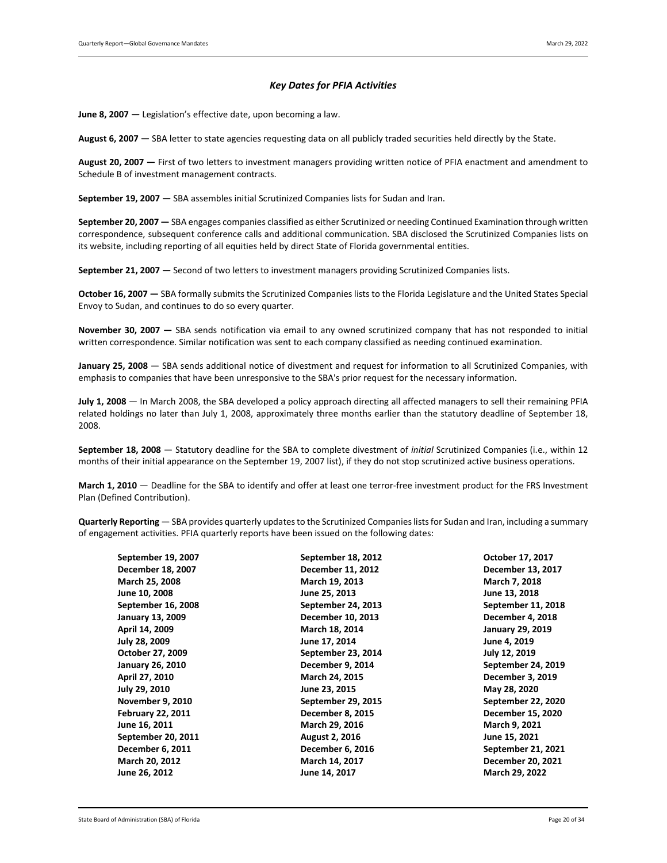#### *Key Dates for PFIA Activities*

<span id="page-19-0"></span>**June 8, 2007 —** Legislation's effective date, upon becoming a law.

August 6, 2007 – SBA letter to state agencies requesting data on all publicly traded securities held directly by the State.

**August 20, 2007 —** First of two letters to investment managers providing written notice of PFIA enactment and amendment to Schedule B of investment management contracts.

**September 19, 2007 —** SBA assembles initial Scrutinized Companies lists for Sudan and Iran.

**September 20, 2007 —** SBA engages companies classified as either Scrutinized or needing Continued Examination through written correspondence, subsequent conference calls and additional communication. SBA disclosed the Scrutinized Companies lists on its website, including reporting of all equities held by direct State of Florida governmental entities.

**September 21, 2007 —** Second of two letters to investment managers providing Scrutinized Companies lists.

**October 16, 2007 —** SBA formally submits the Scrutinized Companies lists to the Florida Legislature and the United States Special Envoy to Sudan, and continues to do so every quarter.

**November 30, 2007 —** SBA sends notification via email to any owned scrutinized company that has not responded to initial written correspondence. Similar notification was sent to each company classified as needing continued examination.

**January 25, 2008** — SBA sends additional notice of divestment and request for information to all Scrutinized Companies, with emphasis to companies that have been unresponsive to the SBA's prior request for the necessary information.

**July 1, 2008** — In March 2008, the SBA developed a policy approach directing all affected managers to sell their remaining PFIA related holdings no later than July 1, 2008, approximately three months earlier than the statutory deadline of September 18, 2008.

**September 18, 2008** — Statutory deadline for the SBA to complete divestment of *initial* Scrutinized Companies (i.e., within 12 months of their initial appearance on the September 19, 2007 list), if they do not stop scrutinized active business operations.

**March 1, 2010** — Deadline for the SBA to identify and offer at least one terror-free investment product for the FRS Investment Plan (Defined Contribution).

**Quarterly Reporting** — SBA provides quarterly updates to the Scrutinized Companies lists for Sudan and Iran, including a summary of engagement activities. PFIA quarterly reports have been issued on the following dates:

| September 19, 2007       | September 18, 2012      | October 17, 2017        |
|--------------------------|-------------------------|-------------------------|
| December 18, 2007        | December 11, 2012       | December 13, 2017       |
| March 25, 2008           | March 19, 2013          | March 7, 2018           |
| June 10, 2008            | June 25, 2013           | June 13, 2018           |
| September 16, 2008       | September 24, 2013      | September 11, 2018      |
| <b>January 13, 2009</b>  | December 10, 2013       | December 4, 2018        |
| April 14, 2009           | March 18, 2014          | <b>January 29, 2019</b> |
| July 28, 2009            | June 17, 2014           | June 4, 2019            |
| October 27, 2009         | September 23, 2014      | July 12, 2019           |
| <b>January 26, 2010</b>  | December 9, 2014        | September 24, 2019      |
| April 27, 2010           | March 24, 2015          | December 3, 2019        |
| July 29, 2010            | June 23, 2015           | May 28, 2020            |
| <b>November 9, 2010</b>  | September 29, 2015      | September 22, 2020      |
| <b>February 22, 2011</b> | <b>December 8, 2015</b> | December 15, 2020       |
| June 16, 2011            | March 29, 2016          | March 9, 2021           |
| September 20, 2011       | <b>August 2, 2016</b>   | June 15, 2021           |
| December 6, 2011         | December 6, 2016        | September 21, 2021      |
| March 20, 2012           | March 14, 2017          | December 20, 2021       |
| June 26, 2012            | June 14, 2017           | March 29, 2022          |
|                          |                         |                         |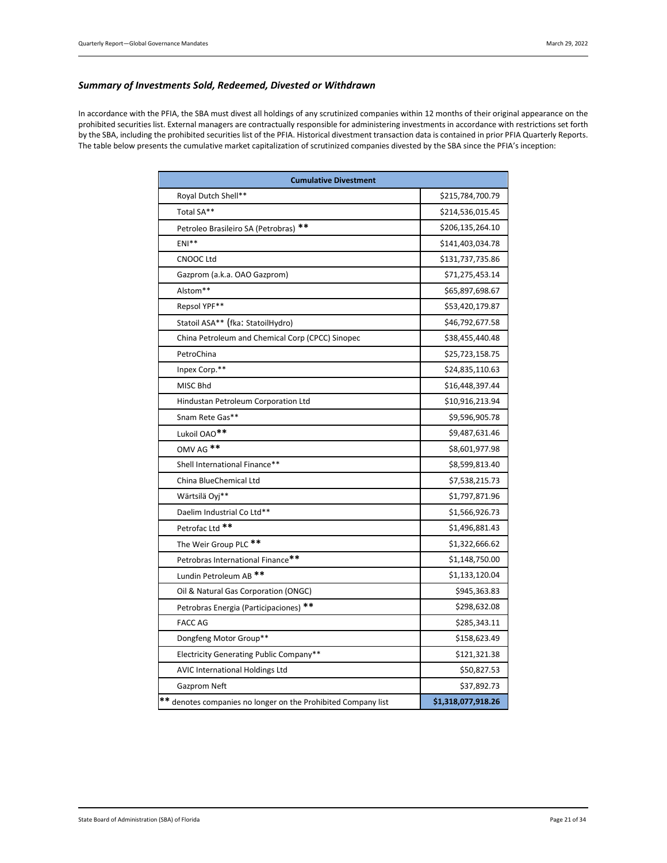#### <span id="page-20-0"></span>*Summary of Investments Sold, Redeemed, Divested or Withdrawn*

In accordance with the PFIA, the SBA must divest all holdings of any scrutinized companies within 12 months of their original appearance on the prohibited securities list. External managers are contractually responsible for administering investments in accordance with restrictions set forth by the SBA, including the prohibited securities list of the PFIA. Historical divestment transaction data is contained in prior PFIA Quarterly Reports. The table below presents the cumulative market capitalization of scrutinized companies divested by the SBA since the PFIA's inception:

| <b>Cumulative Divestment</b>                                  |                    |  |  |  |
|---------------------------------------------------------------|--------------------|--|--|--|
| Royal Dutch Shell**                                           | \$215,784,700.79   |  |  |  |
| Total SA**                                                    | \$214,536,015.45   |  |  |  |
| Petroleo Brasileiro SA (Petrobras) **                         | \$206,135,264.10   |  |  |  |
| $ENI**$                                                       | \$141,403,034.78   |  |  |  |
| <b>CNOOC Ltd</b>                                              | \$131,737,735.86   |  |  |  |
| Gazprom (a.k.a. OAO Gazprom)                                  | \$71,275,453.14    |  |  |  |
| Alstom**                                                      | \$65,897,698.67    |  |  |  |
| Repsol YPF**                                                  | \$53,420,179.87    |  |  |  |
| Statoil ASA** (fka: StatoilHydro)                             | \$46,792,677.58    |  |  |  |
| China Petroleum and Chemical Corp (CPCC) Sinopec              | \$38,455,440.48    |  |  |  |
| PetroChina                                                    | \$25,723,158.75    |  |  |  |
| Inpex Corp.**                                                 | \$24,835,110.63    |  |  |  |
| MISC Bhd                                                      | \$16,448,397.44    |  |  |  |
| Hindustan Petroleum Corporation Ltd                           | \$10,916,213.94    |  |  |  |
| Snam Rete Gas**                                               | \$9,596,905.78     |  |  |  |
| Lukoil OAO <sup>**</sup>                                      | \$9,487,631.46     |  |  |  |
| OMV AG **                                                     | \$8,601,977.98     |  |  |  |
| Shell International Finance**                                 | \$8,599,813.40     |  |  |  |
| China BlueChemical Ltd                                        | \$7,538,215.73     |  |  |  |
| Wärtsilä Ovi**                                                | \$1,797,871.96     |  |  |  |
| Daelim Industrial Co Ltd**                                    | \$1,566,926.73     |  |  |  |
| Petrofac Ltd <sup>**</sup>                                    | \$1,496,881.43     |  |  |  |
| The Weir Group PLC **                                         | \$1,322,666.62     |  |  |  |
| Petrobras International Finance**                             | \$1,148,750.00     |  |  |  |
| Lundin Petroleum AB <sup>**</sup>                             | \$1,133,120.04     |  |  |  |
| Oil & Natural Gas Corporation (ONGC)                          | \$945,363.83       |  |  |  |
| Petrobras Energia (Participaciones) **                        | \$298,632.08       |  |  |  |
| <b>FACC AG</b>                                                | \$285,343.11       |  |  |  |
| Dongfeng Motor Group**                                        | \$158,623.49       |  |  |  |
| Electricity Generating Public Company**                       | \$121,321.38       |  |  |  |
| <b>AVIC International Holdings Ltd</b>                        | \$50,827.53        |  |  |  |
| Gazprom Neft                                                  | \$37,892.73        |  |  |  |
| ** denotes companies no longer on the Prohibited Company list | \$1,318,077,918.26 |  |  |  |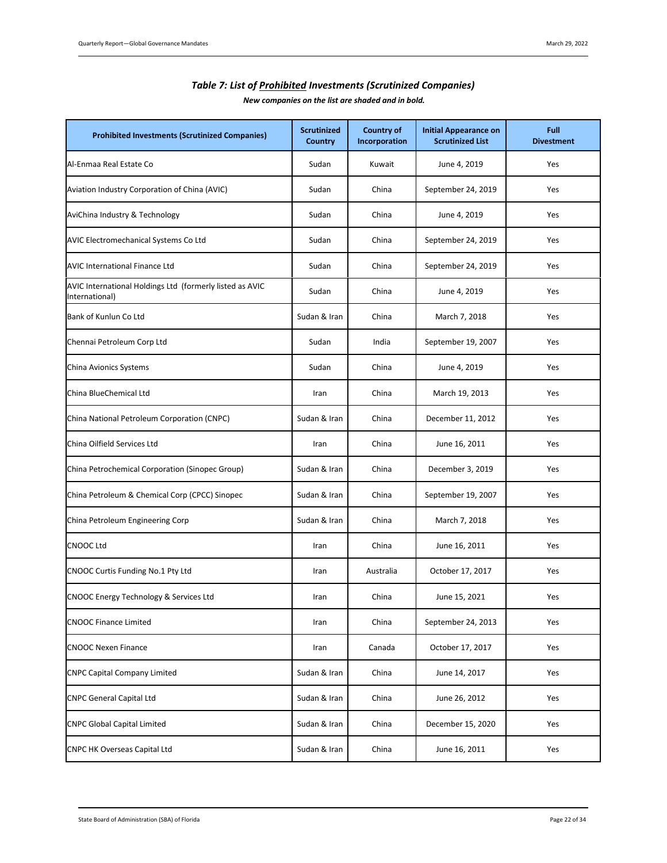<span id="page-21-0"></span>

| <b>Prohibited Investments (Scrutinized Companies)</b>                      | <b>Scrutinized</b><br>Country | <b>Country of</b><br>Incorporation | <b>Initial Appearance on</b><br><b>Scrutinized List</b> | Full<br><b>Divestment</b> |
|----------------------------------------------------------------------------|-------------------------------|------------------------------------|---------------------------------------------------------|---------------------------|
| Al-Enmaa Real Estate Co                                                    | Sudan                         | Kuwait                             | June 4, 2019                                            | Yes                       |
| Aviation Industry Corporation of China (AVIC)                              | Sudan                         | China                              | September 24, 2019                                      | Yes                       |
| AviChina Industry & Technology                                             | Sudan                         | China                              | June 4, 2019                                            | Yes                       |
| AVIC Electromechanical Systems Co Ltd                                      | Sudan                         | China                              | September 24, 2019                                      | Yes                       |
| <b>AVIC International Finance Ltd</b>                                      | Sudan                         | China                              | September 24, 2019                                      | Yes                       |
| AVIC International Holdings Ltd (formerly listed as AVIC<br>International) | Sudan                         | China                              | June 4, 2019                                            | Yes                       |
| Bank of Kunlun Co Ltd                                                      | Sudan & Iran                  | China                              | March 7, 2018                                           | Yes                       |
| Chennai Petroleum Corp Ltd                                                 | Sudan                         | India                              | September 19, 2007                                      | Yes                       |
| China Avionics Systems                                                     | Sudan                         | China                              | June 4, 2019                                            | Yes                       |
| China BlueChemical Ltd                                                     | Iran                          | China                              | March 19, 2013                                          | Yes                       |
| China National Petroleum Corporation (CNPC)                                | Sudan & Iran                  | China                              | December 11, 2012                                       | Yes                       |
| China Oilfield Services Ltd                                                | Iran                          | China                              | June 16, 2011                                           | Yes                       |
| China Petrochemical Corporation (Sinopec Group)                            | Sudan & Iran                  | China                              | December 3, 2019                                        | Yes                       |
| China Petroleum & Chemical Corp (CPCC) Sinopec                             | Sudan & Iran                  | China                              | September 19, 2007                                      | Yes                       |
| China Petroleum Engineering Corp                                           | Sudan & Iran                  | China                              | March 7, 2018                                           | Yes                       |
| <b>CNOOC Ltd</b>                                                           | Iran                          | China                              | June 16, 2011                                           | Yes                       |
| CNOOC Curtis Funding No.1 Pty Ltd                                          | Iran                          | Australia                          | October 17, 2017                                        | Yes                       |
| CNOOC Energy Technology & Services Ltd                                     | Iran                          | China                              | June 15, 2021                                           | Yes                       |
| <b>CNOOC Finance Limited</b>                                               | Iran                          | China                              | September 24, 2013                                      | Yes                       |
| <b>CNOOC Nexen Finance</b>                                                 | Iran                          | Canada                             | October 17, 2017                                        | Yes                       |
| <b>CNPC Capital Company Limited</b>                                        | Sudan & Iran                  | China                              | June 14, 2017                                           | Yes                       |
| <b>CNPC General Capital Ltd</b>                                            | Sudan & Iran                  | China                              | June 26, 2012                                           | Yes                       |
| <b>CNPC Global Capital Limited</b>                                         | Sudan & Iran                  | China                              | December 15, 2020                                       | Yes                       |
| <b>CNPC HK Overseas Capital Ltd</b>                                        | Sudan & Iran                  | China                              | June 16, 2011                                           | Yes                       |

# *Table 7: List of Prohibited Investments (Scrutinized Companies)*

*New companies on the list are shaded and in bold.*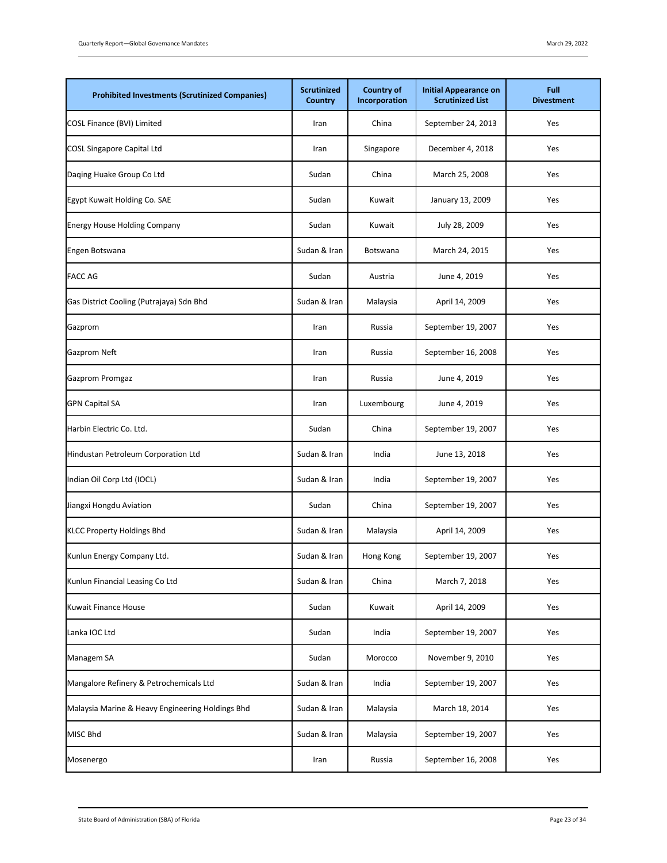| <b>Prohibited Investments (Scrutinized Companies)</b> | <b>Scrutinized</b><br>Country | <b>Country of</b><br>Incorporation | <b>Initial Appearance on</b><br><b>Scrutinized List</b> | Full<br><b>Divestment</b> |
|-------------------------------------------------------|-------------------------------|------------------------------------|---------------------------------------------------------|---------------------------|
| COSL Finance (BVI) Limited                            | Iran                          | China                              | September 24, 2013                                      | Yes                       |
| <b>COSL Singapore Capital Ltd</b>                     | Iran                          | Singapore                          | December 4, 2018                                        | Yes                       |
| Daging Huake Group Co Ltd                             | Sudan                         | China                              | March 25, 2008                                          | Yes                       |
| Egypt Kuwait Holding Co. SAE                          | Sudan                         | Kuwait                             | January 13, 2009                                        | Yes                       |
| <b>Energy House Holding Company</b>                   | Sudan                         | Kuwait                             | July 28, 2009                                           | Yes                       |
| Engen Botswana                                        | Sudan & Iran                  | Botswana                           | March 24, 2015                                          | Yes                       |
| <b>FACC AG</b>                                        | Sudan                         | Austria                            | June 4, 2019                                            | Yes                       |
| Gas District Cooling (Putrajaya) Sdn Bhd              | Sudan & Iran                  | Malaysia                           | April 14, 2009                                          | Yes                       |
| Gazprom                                               | Iran                          | Russia                             | September 19, 2007                                      | Yes                       |
| Gazprom Neft                                          | Iran                          | Russia                             | September 16, 2008                                      | Yes                       |
| Gazprom Promgaz                                       | Iran                          | Russia                             | June 4, 2019                                            | Yes                       |
| <b>GPN Capital SA</b>                                 | Iran                          | Luxembourg                         | June 4, 2019                                            | Yes                       |
| Harbin Electric Co. Ltd.                              | Sudan                         | China                              | September 19, 2007                                      | Yes                       |
| Hindustan Petroleum Corporation Ltd                   | Sudan & Iran                  | India                              | June 13, 2018                                           | Yes                       |
| Indian Oil Corp Ltd (IOCL)                            | Sudan & Iran                  | India                              | September 19, 2007                                      | Yes                       |
| Jiangxi Hongdu Aviation                               | Sudan                         | China                              | September 19, 2007                                      | Yes                       |
| <b>KLCC Property Holdings Bhd</b>                     | Sudan & Iran                  | Malaysia                           | April 14, 2009                                          | Yes                       |
| Kunlun Energy Company Ltd.                            | Sudan & Iran                  | Hong Kong                          | September 19, 2007                                      | Yes                       |
| Kunlun Financial Leasing Co Ltd                       | Sudan & Iran                  | China                              | March 7, 2018                                           | Yes                       |
| Kuwait Finance House                                  | Sudan                         | Kuwait                             | April 14, 2009                                          | Yes                       |
| Lanka IOC Ltd                                         | Sudan                         | India                              | September 19, 2007                                      | Yes                       |
| Managem SA                                            | Sudan                         | Morocco                            | November 9, 2010                                        | Yes                       |
| Mangalore Refinery & Petrochemicals Ltd               | Sudan & Iran                  | India                              | September 19, 2007                                      | Yes                       |
| Malaysia Marine & Heavy Engineering Holdings Bhd      | Sudan & Iran                  | Malaysia                           | March 18, 2014                                          | Yes                       |
| MISC Bhd                                              | Sudan & Iran                  | Malaysia                           | September 19, 2007                                      | Yes                       |
| Mosenergo                                             | Iran                          | Russia                             | September 16, 2008                                      | Yes                       |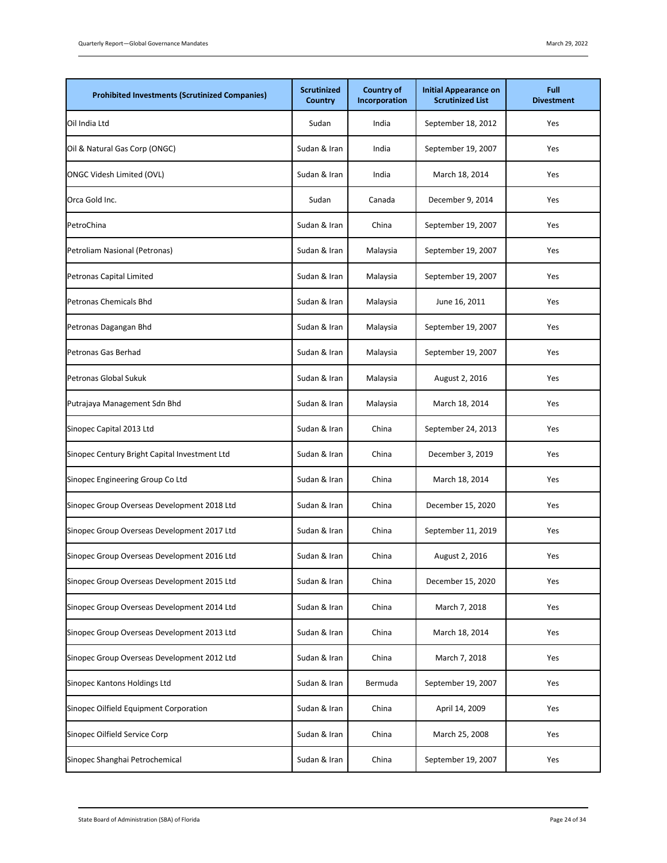| <b>Prohibited Investments (Scrutinized Companies)</b> | <b>Scrutinized</b><br>Country | <b>Country of</b><br>Incorporation | <b>Initial Appearance on</b><br><b>Scrutinized List</b> | Full<br><b>Divestment</b> |
|-------------------------------------------------------|-------------------------------|------------------------------------|---------------------------------------------------------|---------------------------|
| Oil India Ltd                                         | Sudan                         | India                              | September 18, 2012                                      | Yes                       |
| Oil & Natural Gas Corp (ONGC)                         | Sudan & Iran                  | India                              | September 19, 2007                                      | Yes                       |
| <b>ONGC Videsh Limited (OVL)</b>                      | Sudan & Iran                  | India                              | March 18, 2014                                          | Yes                       |
| Orca Gold Inc.                                        | Sudan                         | Canada                             | December 9, 2014                                        | Yes                       |
| PetroChina                                            | Sudan & Iran                  | China                              | September 19, 2007                                      | Yes                       |
| Petroliam Nasional (Petronas)                         | Sudan & Iran                  | Malaysia                           | September 19, 2007                                      | Yes                       |
| Petronas Capital Limited                              | Sudan & Iran                  | Malaysia                           | September 19, 2007                                      | Yes                       |
| <b>Petronas Chemicals Bhd</b>                         | Sudan & Iran                  | Malaysia                           | June 16, 2011                                           | Yes                       |
| Petronas Dagangan Bhd                                 | Sudan & Iran                  | Malaysia                           | September 19, 2007                                      | Yes                       |
| Petronas Gas Berhad                                   | Sudan & Iran                  | Malaysia                           | September 19, 2007                                      | Yes                       |
| Petronas Global Sukuk                                 | Sudan & Iran                  | Malaysia                           | August 2, 2016                                          | Yes                       |
| Putrajaya Management Sdn Bhd                          | Sudan & Iran                  | Malaysia                           | March 18, 2014                                          | Yes                       |
| Sinopec Capital 2013 Ltd                              | Sudan & Iran                  | China                              | September 24, 2013                                      | Yes                       |
| Sinopec Century Bright Capital Investment Ltd         | Sudan & Iran                  | China                              | December 3, 2019                                        | Yes                       |
| Sinopec Engineering Group Co Ltd                      | Sudan & Iran                  | China                              | March 18, 2014                                          | Yes                       |
| Sinopec Group Overseas Development 2018 Ltd           | Sudan & Iran                  | China                              | December 15, 2020                                       | Yes                       |
| Sinopec Group Overseas Development 2017 Ltd           | Sudan & Iran                  | China                              | September 11, 2019                                      | Yes                       |
| Sinopec Group Overseas Development 2016 Ltd           | Sudan & Iran                  | China                              | August 2, 2016                                          | Yes                       |
| Sinopec Group Overseas Development 2015 Ltd           | Sudan & Iran                  | China                              | December 15, 2020                                       | Yes                       |
| Sinopec Group Overseas Development 2014 Ltd           | Sudan & Iran                  | China                              | March 7, 2018                                           | Yes                       |
| Sinopec Group Overseas Development 2013 Ltd           | Sudan & Iran                  | China                              | March 18, 2014                                          | Yes                       |
| Sinopec Group Overseas Development 2012 Ltd           | Sudan & Iran                  | China                              | March 7, 2018                                           | Yes                       |
| Sinopec Kantons Holdings Ltd                          | Sudan & Iran                  | Bermuda                            | September 19, 2007                                      | Yes                       |
| Sinopec Oilfield Equipment Corporation                | Sudan & Iran                  | China                              | April 14, 2009                                          | Yes                       |
| Sinopec Oilfield Service Corp                         | Sudan & Iran                  | China                              | March 25, 2008                                          | Yes                       |
| Sinopec Shanghai Petrochemical                        | Sudan & Iran                  | China                              | September 19, 2007                                      | Yes                       |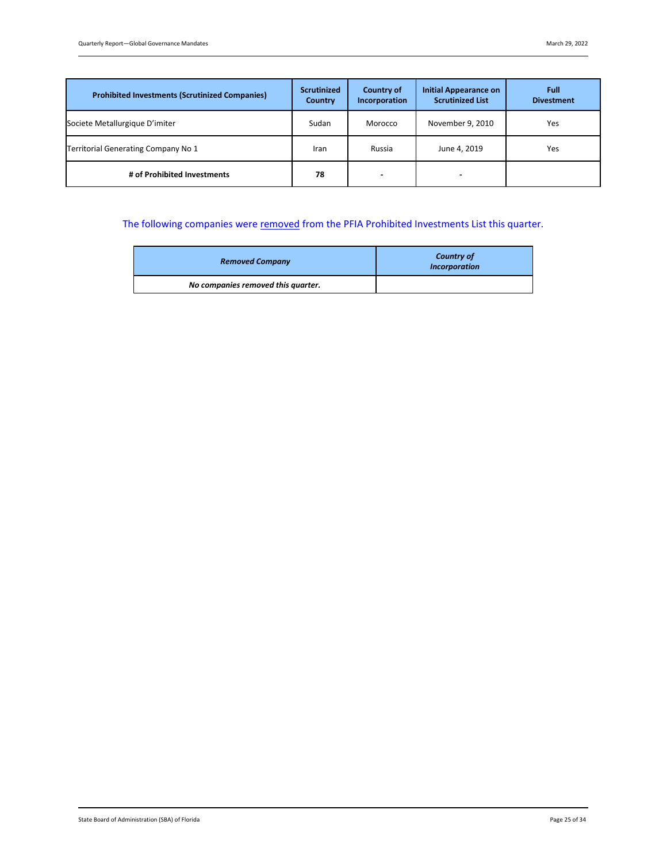| <b>Prohibited Investments (Scrutinized Companies)</b> | <b>Scrutinized</b><br>Country | <b>Country of</b><br>Incorporation | <b>Initial Appearance on</b><br><b>Scrutinized List</b> | Full<br><b>Divestment</b> |
|-------------------------------------------------------|-------------------------------|------------------------------------|---------------------------------------------------------|---------------------------|
| Societe Metallurgique D'imiter                        | Sudan                         | Morocco                            | November 9, 2010                                        | Yes                       |
| Territorial Generating Company No 1                   | Iran                          | Russia                             | June 4, 2019                                            | Yes                       |
| # of Prohibited Investments                           | 78                            | $\overline{\phantom{0}}$           | -                                                       |                           |

# The following companies were removed from the PFIA Prohibited Investments List this quarter.

| <b>Removed Company</b>             | <b>Country of</b><br><b>Incorporation</b> |
|------------------------------------|-------------------------------------------|
| No companies removed this quarter. |                                           |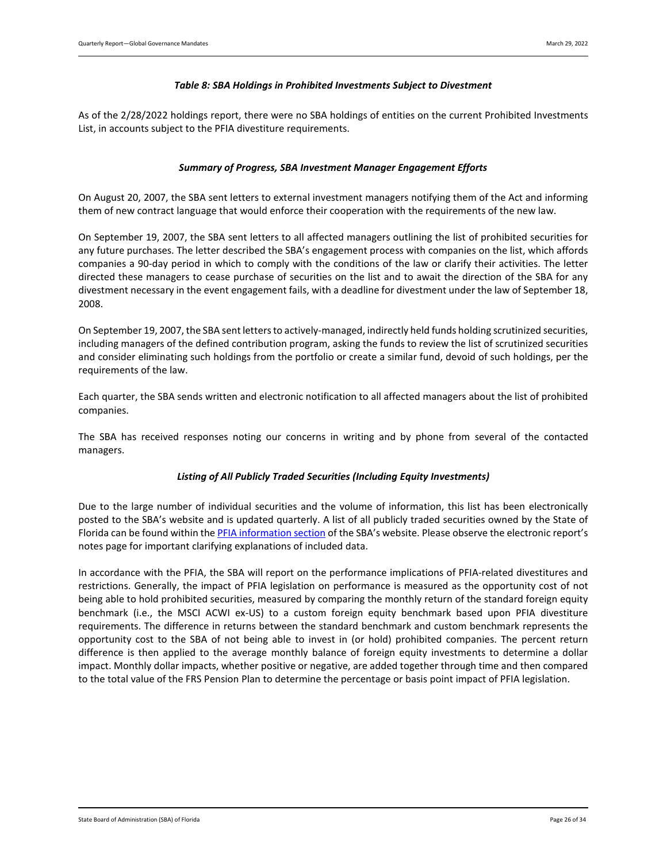#### *Table 8: SBA Holdings in Prohibited Investments Subject to Divestment*

<span id="page-25-1"></span><span id="page-25-0"></span>As of the 2/28/2022 holdings report, there were no SBA holdings of entities on the current Prohibited Investments List, in accounts subject to the PFIA divestiture requirements.

#### *Summary of Progress, SBA Investment Manager Engagement Efforts*

On August 20, 2007, the SBA sent letters to external investment managers notifying them of the Act and informing them of new contract language that would enforce their cooperation with the requirements of the new law.

On September 19, 2007, the SBA sent letters to all affected managers outlining the list of prohibited securities for any future purchases. The letter described the SBA's engagement process with companies on the list, which affords companies a 90-day period in which to comply with the conditions of the law or clarify their activities. The letter directed these managers to cease purchase of securities on the list and to await the direction of the SBA for any divestment necessary in the event engagement fails, with a deadline for divestment under the law of September 18, 2008.

On September 19, 2007, the SBA sent letters to actively-managed, indirectly held funds holding scrutinized securities, including managers of the defined contribution program, asking the funds to review the list of scrutinized securities and consider eliminating such holdings from the portfolio or create a similar fund, devoid of such holdings, per the requirements of the law.

Each quarter, the SBA sends written and electronic notification to all affected managers about the list of prohibited companies.

<span id="page-25-2"></span>The SBA has received responses noting our concerns in writing and by phone from several of the contacted managers.

#### *Listing of All Publicly Traded Securities (Including Equity Investments)*

Due to the large number of individual securities and the volume of information, this list has been electronically posted to the SBA's website and is updated quarterly. A list of all publicly traded securities owned by the State of Florida can be found within th[e PFIA information section](https://www.sbafla.com/fsb/FundsWeManage/FRSPensionPlan/GlobalGovernanceMandates.aspx) of the SBA's website. Please observe the electronic report's notes page for important clarifying explanations of included data.

In accordance with the PFIA, the SBA will report on the performance implications of PFIA-related divestitures and restrictions. Generally, the impact of PFIA legislation on performance is measured as the opportunity cost of not being able to hold prohibited securities, measured by comparing the monthly return of the standard foreign equity benchmark (i.e., the MSCI ACWI ex-US) to a custom foreign equity benchmark based upon PFIA divestiture requirements. The difference in returns between the standard benchmark and custom benchmark represents the opportunity cost to the SBA of not being able to invest in (or hold) prohibited companies. The percent return difference is then applied to the average monthly balance of foreign equity investments to determine a dollar impact. Monthly dollar impacts, whether positive or negative, are added together through time and then compared to the total value of the FRS Pension Plan to determine the percentage or basis point impact of PFIA legislation.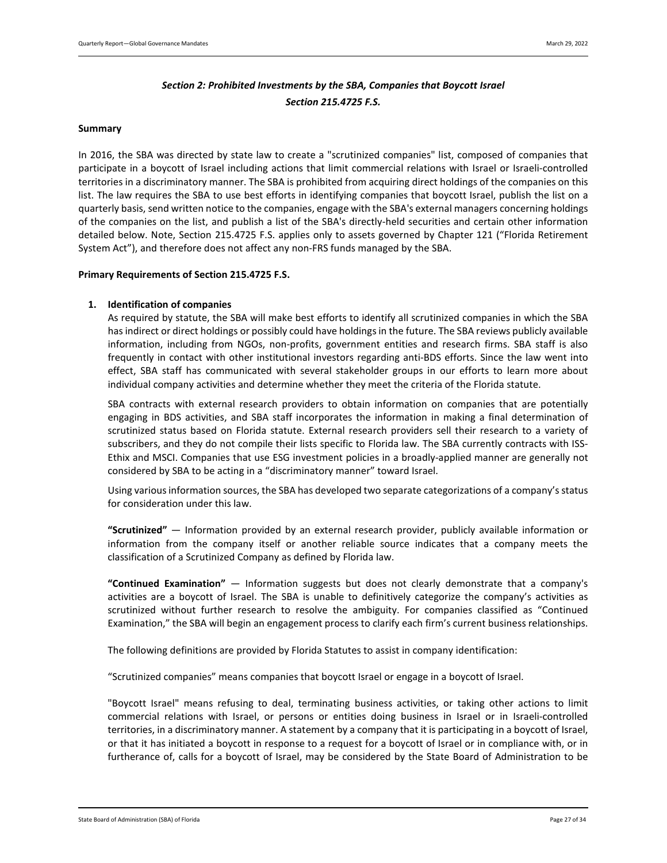# *Section 2: Prohibited Investments by the SBA, Companies that Boycott Israel Section 215.4725 F.S.*

#### <span id="page-26-0"></span>**Summary**

In 2016, the SBA was directed by state law to create a "scrutinized companies" list, composed of companies that participate in a boycott of Israel including actions that limit commercial relations with Israel or Israeli-controlled territories in a discriminatory manner. The SBA is prohibited from acquiring direct holdings of the companies on this list. The law requires the SBA to use best efforts in identifying companies that boycott Israel, publish the list on a quarterly basis, send written notice to the companies, engage with the SBA's external managers concerning holdings of the companies on the list, and publish a list of the SBA's directly-held securities and certain other information detailed below. Note, Section 215.4725 F.S. applies only to assets governed by Chapter 121 ("Florida Retirement System Act"), and therefore does not affect any non-FRS funds managed by the SBA.

#### <span id="page-26-1"></span>**Primary Requirements of Section 215.4725 F.S.**

#### **1. Identification of companies**

As required by statute, the SBA will make best efforts to identify all scrutinized companies in which the SBA has indirect or direct holdings or possibly could have holdings in the future. The SBA reviews publicly available information, including from NGOs, non-profits, government entities and research firms. SBA staff is also frequently in contact with other institutional investors regarding anti-BDS efforts. Since the law went into effect, SBA staff has communicated with several stakeholder groups in our efforts to learn more about individual company activities and determine whether they meet the criteria of the Florida statute.

SBA contracts with external research providers to obtain information on companies that are potentially engaging in BDS activities, and SBA staff incorporates the information in making a final determination of scrutinized status based on Florida statute. External research providers sell their research to a variety of subscribers, and they do not compile their lists specific to Florida law. The SBA currently contracts with ISS-Ethix and MSCI. Companies that use ESG investment policies in a broadly-applied manner are generally not considered by SBA to be acting in a "discriminatory manner" toward Israel.

Using various information sources, the SBA has developed two separate categorizations of a company's status for consideration under this law.

**"Scrutinized"** — Information provided by an external research provider, publicly available information or information from the company itself or another reliable source indicates that a company meets the classification of a Scrutinized Company as defined by Florida law.

**"Continued Examination"** — Information suggests but does not clearly demonstrate that a company's activities are a boycott of Israel. The SBA is unable to definitively categorize the company's activities as scrutinized without further research to resolve the ambiguity. For companies classified as "Continued Examination," the SBA will begin an engagement process to clarify each firm's current business relationships.

The following definitions are provided by Florida Statutes to assist in company identification:

"Scrutinized companies" means companies that boycott Israel or engage in a boycott of Israel.

"Boycott Israel" means refusing to deal, terminating business activities, or taking other actions to limit commercial relations with Israel, or persons or entities doing business in Israel or in Israeli-controlled territories, in a discriminatory manner. A statement by a company that it is participating in a boycott of Israel, or that it has initiated a boycott in response to a request for a boycott of Israel or in compliance with, or in furtherance of, calls for a boycott of Israel, may be considered by the State Board of Administration to be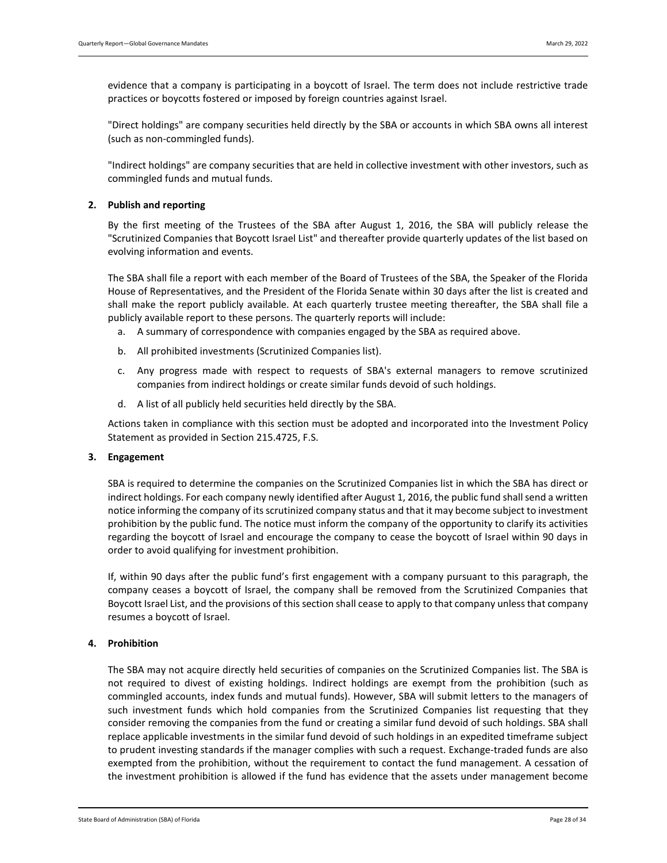evidence that a company is participating in a boycott of Israel. The term does not include restrictive trade practices or boycotts fostered or imposed by foreign countries against Israel.

"Direct holdings" are company securities held directly by the SBA or accounts in which SBA owns all interest (such as non-commingled funds).

"Indirect holdings" are company securities that are held in collective investment with other investors, such as commingled funds and mutual funds.

#### **2. Publish and reporting**

By the first meeting of the Trustees of the SBA after August 1, 2016, the SBA will publicly release the "Scrutinized Companies that Boycott Israel List" and thereafter provide quarterly updates of the list based on evolving information and events.

The SBA shall file a report with each member of the Board of Trustees of the SBA, the Speaker of the Florida House of Representatives, and the President of the Florida Senate within 30 days after the list is created and shall make the report publicly available. At each quarterly trustee meeting thereafter, the SBA shall file a publicly available report to these persons. The quarterly reports will include:

- a. A summary of correspondence with companies engaged by the SBA as required above.
- b. All prohibited investments (Scrutinized Companies list).
- c. Any progress made with respect to requests of SBA's external managers to remove scrutinized companies from indirect holdings or create similar funds devoid of such holdings.
- d. A list of all publicly held securities held directly by the SBA.

Actions taken in compliance with this section must be adopted and incorporated into the Investment Policy Statement as provided in Section 215.4725, F.S.

#### **3. Engagement**

SBA is required to determine the companies on the Scrutinized Companies list in which the SBA has direct or indirect holdings. For each company newly identified after August 1, 2016, the public fund shall send a written notice informing the company of its scrutinized company status and that it may become subject to investment prohibition by the public fund. The notice must inform the company of the opportunity to clarify its activities regarding the boycott of Israel and encourage the company to cease the boycott of Israel within 90 days in order to avoid qualifying for investment prohibition.

If, within 90 days after the public fund's first engagement with a company pursuant to this paragraph, the company ceases a boycott of Israel, the company shall be removed from the Scrutinized Companies that Boycott Israel List, and the provisions of this section shall cease to apply to that company unless that company resumes a boycott of Israel.

#### **4. Prohibition**

The SBA may not acquire directly held securities of companies on the Scrutinized Companies list. The SBA is not required to divest of existing holdings. Indirect holdings are exempt from the prohibition (such as commingled accounts, index funds and mutual funds). However, SBA will submit letters to the managers of such investment funds which hold companies from the Scrutinized Companies list requesting that they consider removing the companies from the fund or creating a similar fund devoid of such holdings. SBA shall replace applicable investments in the similar fund devoid of such holdings in an expedited timeframe subject to prudent investing standards if the manager complies with such a request. Exchange-traded funds are also exempted from the prohibition, without the requirement to contact the fund management. A cessation of the investment prohibition is allowed if the fund has evidence that the assets under management become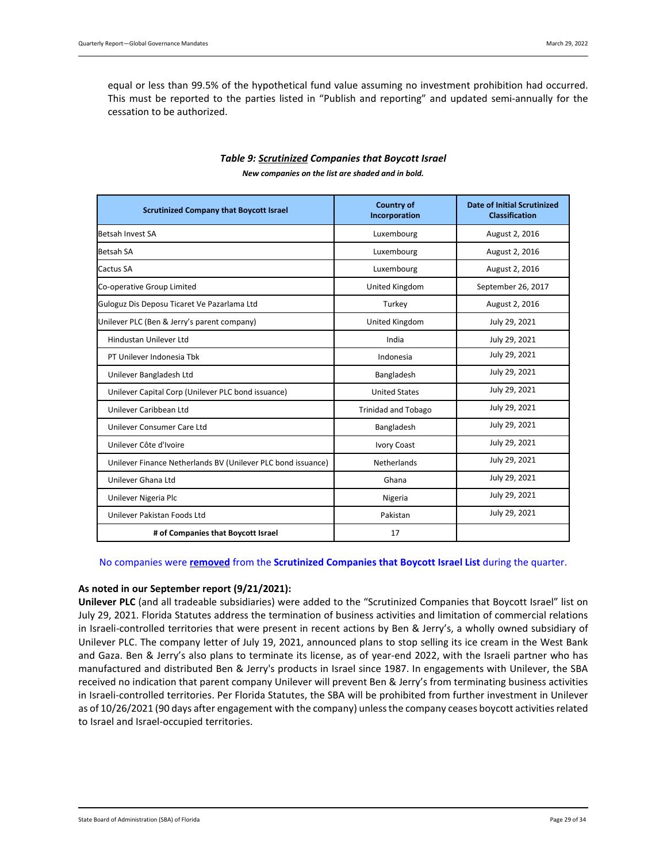equal or less than 99.5% of the hypothetical fund value assuming no investment prohibition had occurred. This must be reported to the parties listed in "Publish and reporting" and updated semi-annually for the cessation to be authorized.

<span id="page-28-0"></span>

| <b>Scrutinized Company that Boycott Israel</b>               | <b>Country of</b><br>Incorporation | <b>Date of Initial Scrutinized</b><br><b>Classification</b> |
|--------------------------------------------------------------|------------------------------------|-------------------------------------------------------------|
| Betsah Invest SA                                             | Luxembourg                         | August 2, 2016                                              |
| <b>Betsah SA</b>                                             | Luxembourg                         | August 2, 2016                                              |
| Cactus SA                                                    | Luxembourg                         | August 2, 2016                                              |
| Co-operative Group Limited                                   | United Kingdom                     | September 26, 2017                                          |
| Guloguz Dis Deposu Ticaret Ve Pazarlama Ltd                  | Turkey                             | August 2, 2016                                              |
| Unilever PLC (Ben & Jerry's parent company)                  | United Kingdom                     | July 29, 2021                                               |
| Hindustan Unilever Ltd                                       | India                              | July 29, 2021                                               |
| PT Unilever Indonesia Tbk                                    | Indonesia                          | July 29, 2021                                               |
| Unilever Bangladesh Ltd                                      | Bangladesh                         | July 29, 2021                                               |
| Unilever Capital Corp (Unilever PLC bond issuance)           | <b>United States</b>               | July 29, 2021                                               |
| Unilever Caribbean Ltd                                       | <b>Trinidad and Tobago</b>         | July 29, 2021                                               |
| Unilever Consumer Care Ltd                                   | Bangladesh                         | July 29, 2021                                               |
| Unilever Côte d'Ivoire                                       | <b>Ivory Coast</b>                 | July 29, 2021                                               |
| Unilever Finance Netherlands BV (Unilever PLC bond issuance) | Netherlands                        | July 29, 2021                                               |
| Unilever Ghana Ltd                                           | Ghana                              | July 29, 2021                                               |
| Unilever Nigeria Plc                                         | Nigeria                            | July 29, 2021                                               |
| Unilever Pakistan Foods Ltd                                  | Pakistan                           | July 29, 2021                                               |
| # of Companies that Boycott Israel                           | 17                                 |                                                             |

# *Table 9: Scrutinized Companies that Boycott Israel*

*New companies on the list are shaded and in bold.*

#### No companies were **removed** from the **Scrutinized Companies that Boycott Israel List** during the quarter.

## **As noted in our September report (9/21/2021):**

**Unilever PLC** (and all tradeable subsidiaries) were added to the "Scrutinized Companies that Boycott Israel" list on July 29, 2021. Florida Statutes address the termination of business activities and limitation of commercial relations in Israeli-controlled territories that were present in recent actions by Ben & Jerry's, a wholly owned subsidiary of Unilever PLC. The company letter of July 19, 2021, announced plans to stop selling its ice cream in the West Bank and Gaza. Ben & Jerry's also plans to terminate its license, as of year-end 2022, with the Israeli partner who has manufactured and distributed Ben & Jerry's products in Israel since 1987. In engagements with Unilever, the SBA received no indication that parent company Unilever will prevent Ben & Jerry's from terminating business activities in Israeli-controlled territories. Per Florida Statutes, the SBA will be prohibited from further investment in Unilever as of 10/26/2021 (90 days after engagement with the company) unlessthe company ceases boycott activities related to Israel and Israel-occupied territories.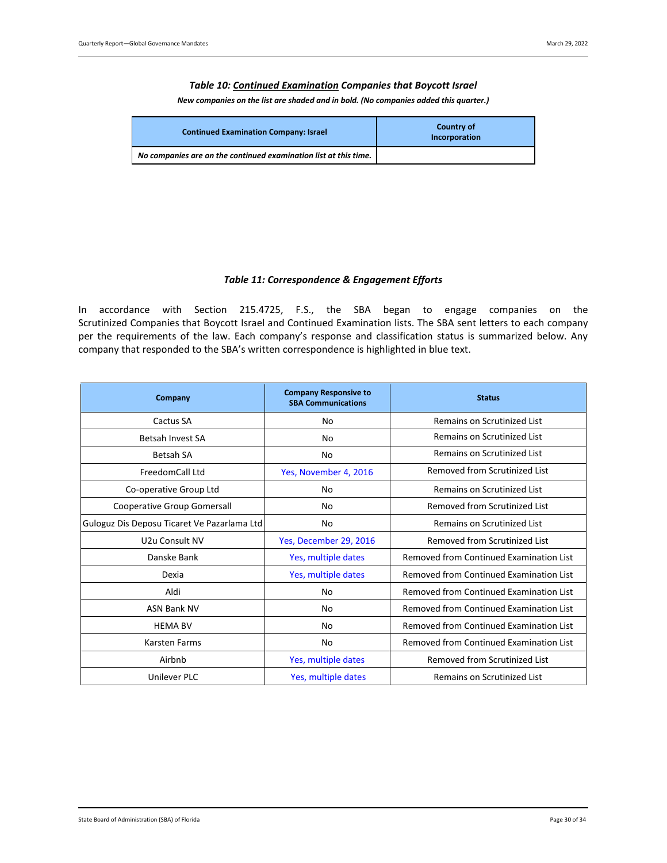#### *Table 10: Continued Examination Companies that Boycott Israel*

*New companies on the list are shaded and in bold. (No companies added this quarter.)*

<span id="page-29-0"></span>

| <b>Continued Examination Company: Israel</b>                     | <b>Country of</b><br>Incorporation |
|------------------------------------------------------------------|------------------------------------|
| No companies are on the continued examination list at this time. |                                    |

#### *Table 11: Correspondence & Engagement Efforts*

<span id="page-29-1"></span>In accordance with Section 215.4725, F.S., the SBA began to engage companies on the Scrutinized Companies that Boycott Israel and Continued Examination lists. The SBA sent letters to each company per the requirements of the law. Each company's response and classification status is summarized below. Any company that responded to the SBA's written correspondence is highlighted in blue text.

| Company                                     | <b>Company Responsive to</b><br><b>SBA Communications</b> | <b>Status</b>                           |
|---------------------------------------------|-----------------------------------------------------------|-----------------------------------------|
| Cactus SA                                   | No                                                        | <b>Remains on Scrutinized List</b>      |
| Betsah Invest SA                            | No                                                        | Remains on Scrutinized List             |
| <b>Betsah SA</b>                            | No                                                        | Remains on Scrutinized List             |
| FreedomCall Ltd                             | Yes, November 4, 2016                                     | Removed from Scrutinized List           |
| Co-operative Group Ltd                      | No                                                        | Remains on Scrutinized List             |
| Cooperative Group Gomersall                 | No                                                        | Removed from Scrutinized List           |
| Guloguz Dis Deposu Ticaret Ve Pazarlama Ltd | No                                                        | Remains on Scrutinized List             |
| U2u Consult NV                              | Yes, December 29, 2016                                    | Removed from Scrutinized List           |
| Danske Bank                                 | Yes, multiple dates                                       | Removed from Continued Examination List |
| Dexia                                       | Yes, multiple dates                                       | Removed from Continued Examination List |
| Aldi                                        | No                                                        | Removed from Continued Examination List |
| <b>ASN Bank NV</b>                          | No                                                        | Removed from Continued Examination List |
| <b>HEMA BV</b>                              | No                                                        | Removed from Continued Examination List |
| Karsten Farms                               | No                                                        | Removed from Continued Examination List |
| Airbnb                                      | Yes, multiple dates                                       | Removed from Scrutinized List           |
| Unilever PLC                                | Yes, multiple dates                                       | Remains on Scrutinized List             |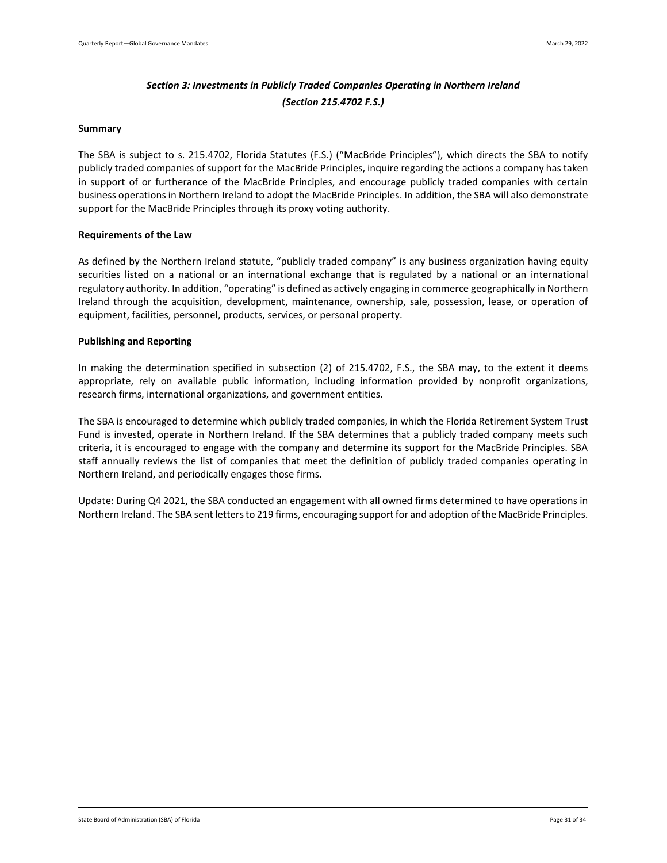# *Section 3: Investments in Publicly Traded Companies Operating in Northern Ireland (Section 215.4702 F.S.)*

#### <span id="page-30-0"></span>**Summary**

The SBA is subject to s. 215.4702, Florida Statutes (F.S.) ("MacBride Principles"), which directs the SBA to notify publicly traded companies of support for the MacBride Principles, inquire regarding the actions a company has taken in support of or furtherance of the MacBride Principles, and encourage publicly traded companies with certain business operations in Northern Ireland to adopt the MacBride Principles. In addition, the SBA will also demonstrate support for the MacBride Principles through its proxy voting authority.

#### **Requirements of the Law**

As defined by the Northern Ireland statute, "publicly traded company" is any business organization having equity securities listed on a national or an international exchange that is regulated by a national or an international regulatory authority. In addition, "operating" is defined as actively engaging in commerce geographically in Northern Ireland through the acquisition, development, maintenance, ownership, sale, possession, lease, or operation of equipment, facilities, personnel, products, services, or personal property.

#### **Publishing and Reporting**

In making the determination specified in subsection (2) of 215.4702, F.S., the SBA may, to the extent it deems appropriate, rely on available public information, including information provided by nonprofit organizations, research firms, international organizations, and government entities.

The SBA is encouraged to determine which publicly traded companies, in which the Florida Retirement System Trust Fund is invested, operate in Northern Ireland. If the SBA determines that a publicly traded company meets such criteria, it is encouraged to engage with the company and determine its support for the MacBride Principles. SBA staff annually reviews the list of companies that meet the definition of publicly traded companies operating in Northern Ireland, and periodically engages those firms.

Update: During Q4 2021, the SBA conducted an engagement with all owned firms determined to have operations in Northern Ireland. The SBA sent letters to 219 firms, encouraging support for and adoption of the MacBride Principles.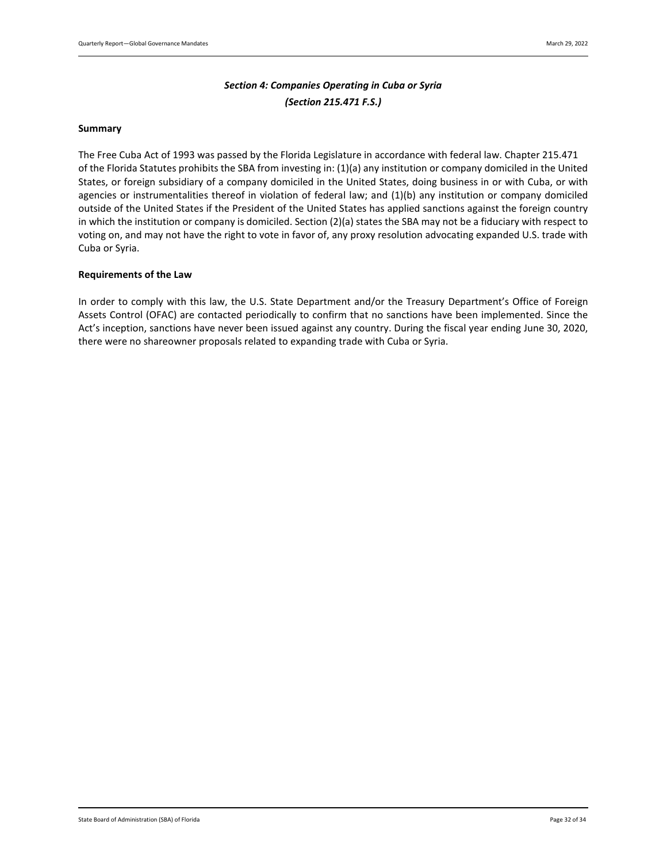# *Section 4: Companies Operating in Cuba or Syria (Section 215.471 F.S.)*

#### <span id="page-31-0"></span>**Summary**

The Free Cuba Act of 1993 was passed by the Florida Legislature in accordance with federal law. Chapter 215.471 of the Florida Statutes prohibits the SBA from investing in: (1)(a) any institution or company domiciled in the United States, or foreign subsidiary of a company domiciled in the United States, doing business in or with Cuba, or with agencies or instrumentalities thereof in violation of federal law; and (1)(b) any institution or company domiciled outside of the United States if the President of the United States has applied sanctions against the foreign country in which the institution or company is domiciled. Section (2)(a) states the SBA may not be a fiduciary with respect to voting on, and may not have the right to vote in favor of, any proxy resolution advocating expanded U.S. trade with Cuba or Syria.

#### **Requirements of the Law**

In order to comply with this law, the U.S. State Department and/or the Treasury Department's Office of Foreign Assets Control (OFAC) are contacted periodically to confirm that no sanctions have been implemented. Since the Act's inception, sanctions have never been issued against any country. During the fiscal year ending June 30, 2020, there were no shareowner proposals related to expanding trade with Cuba or Syria.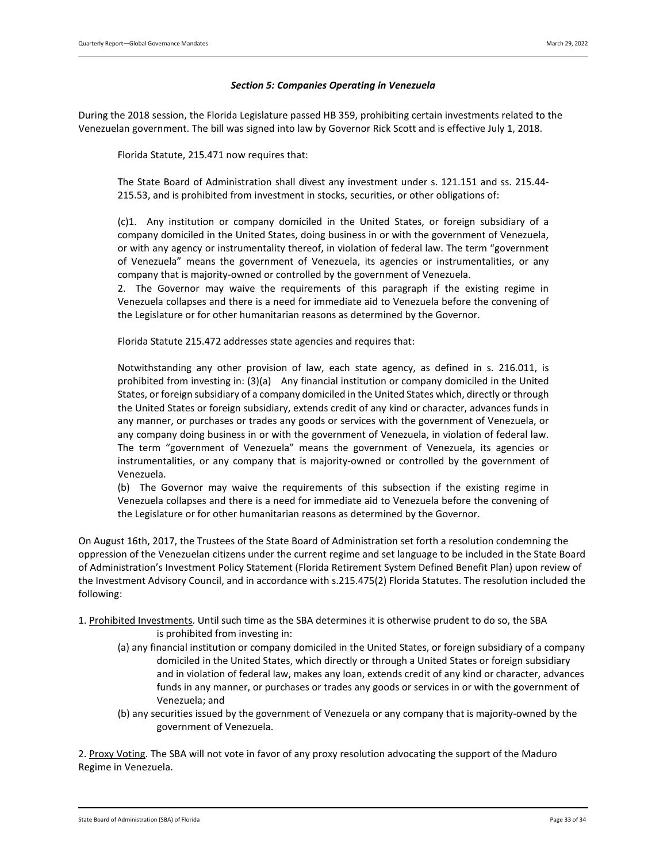#### *Section 5: Companies Operating in Venezuela*

<span id="page-32-0"></span>During the 2018 session, the Florida Legislature passed HB 359, prohibiting certain investments related to the Venezuelan government. The bill was signed into law by Governor Rick Scott and is effective July 1, 2018.

Florida Statute, 215.471 now requires that:

The State Board of Administration shall divest any investment under s. [121.151](http://www.leg.state.fl.us/statutes/index.cfm?App_mode=Display_Statute&Search_String=venezuela&URL=0100-0199/0121/Sections/0121.151.html) and ss. [215.44-](http://www.leg.state.fl.us/statutes/index.cfm?App_mode=Display_Statute&Search_String=venezuela&URL=0200-0299/0215/Sections/0215.44.html) [215.53,](http://www.leg.state.fl.us/statutes/index.cfm?App_mode=Display_Statute&Search_String=venezuela&URL=0200-0299/0215/Sections/0215.53.html) and is prohibited from investment in stocks, securities, or other obligations of:

(c)1. Any institution or company domiciled in the United States, or foreign subsidiary of a company domiciled in the United States, doing business in or with the government of Venezuela, or with any agency or instrumentality thereof, in violation of federal law. The term "government of Venezuela" means the government of Venezuela, its agencies or instrumentalities, or any company that is majority-owned or controlled by the government of Venezuela.

2. The Governor may waive the requirements of this paragraph if the existing regime in Venezuela collapses and there is a need for immediate aid to Venezuela before the convening of the Legislature or for other humanitarian reasons as determined by the Governor.

Florida Statute 215.472 addresses state agencies and requires that:

Notwithstanding any other provision of law, each state agency, as defined in s. [216.011,](http://www.leg.state.fl.us/statutes/index.cfm?App_mode=Display_Statute&Search_String=venezuela&URL=0200-0299/0216/Sections/0216.011.html) is prohibited from investing in: (3)(a) Any financial institution or company domiciled in the United States, or foreign subsidiary of a company domiciled in the United States which, directly or through the United States or foreign subsidiary, extends credit of any kind or character, advances funds in any manner, or purchases or trades any goods or services with the government of Venezuela, or any company doing business in or with the government of Venezuela, in violation of federal law. The term "government of Venezuela" means the government of Venezuela, its agencies or instrumentalities, or any company that is majority-owned or controlled by the government of Venezuela.

(b) The Governor may waive the requirements of this subsection if the existing regime in Venezuela collapses and there is a need for immediate aid to Venezuela before the convening of the Legislature or for other humanitarian reasons as determined by the Governor.

On August 16th, 2017, the Trustees of the State Board of Administration set forth a resolution condemning the oppression of the Venezuelan citizens under the current regime and set language to be included in the State Board of Administration's Investment Policy Statement (Florida Retirement System Defined Benefit Plan) upon review of the Investment Advisory Council, and in accordance with s.215.475(2) Florida Statutes. The resolution included the following:

- 1. Prohibited Investments. Until such time as the SBA determines it is otherwise prudent to do so, the SBA is prohibited from investing in:
	- (a) any financial institution or company domiciled in the United States, or foreign subsidiary of a company domiciled in the United States, which directly or through a United States or foreign subsidiary and in violation of federal law, makes any loan, extends credit of any kind or character, advances funds in any manner, or purchases or trades any goods or services in or with the government of Venezuela; and
	- (b) any securities issued by the government of Venezuela or any company that is majority-owned by the government of Venezuela.

2. Proxy Voting. The SBA will not vote in favor of any proxy resolution advocating the support of the Maduro Regime in Venezuela.